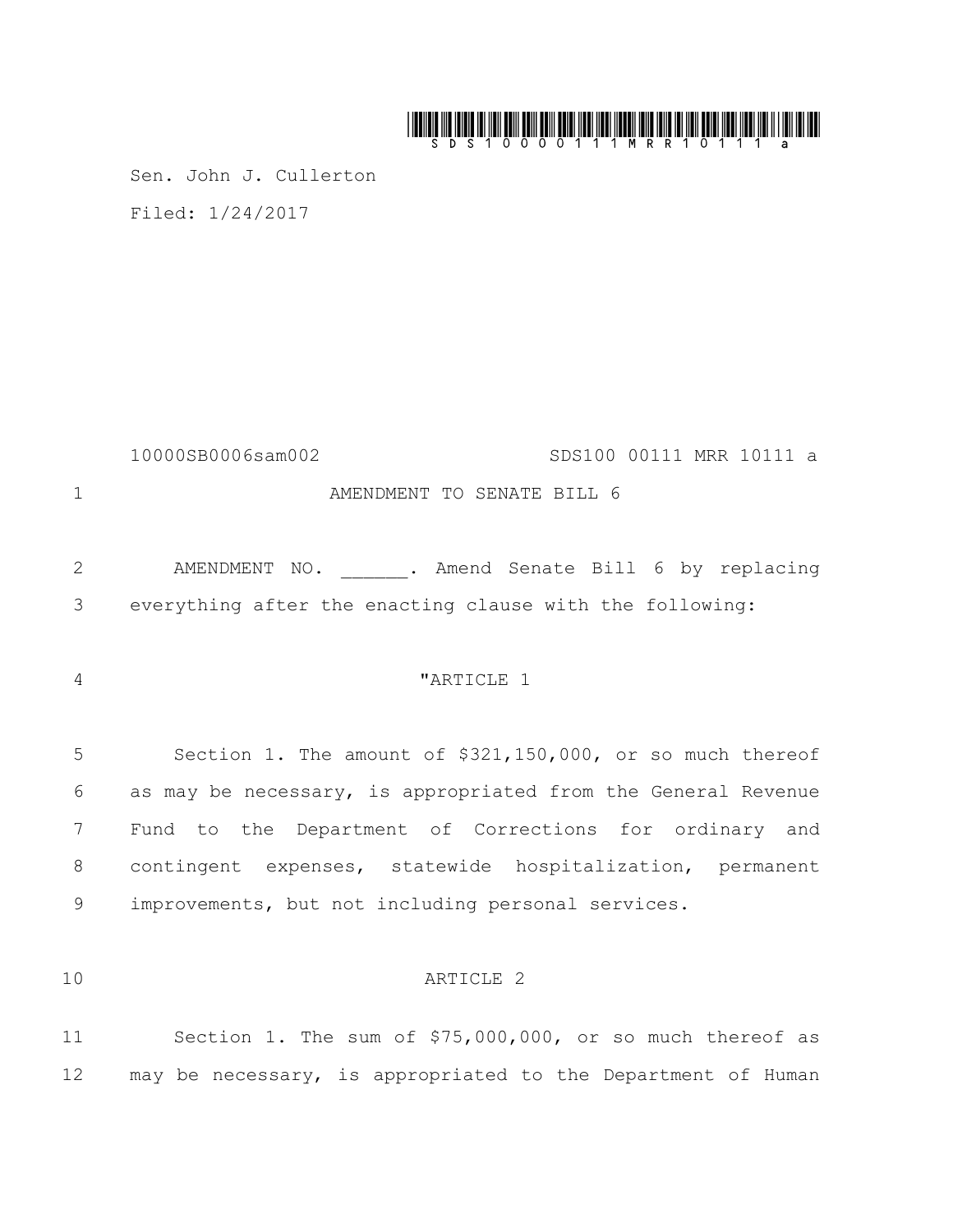# 

Sen. John J. Cullerton Filed: 1/24/2017

10000SB0006sam002 SDS100 00111 MRR 10111 a 1 AMENDMENT TO SENATE BILL 6

2 AMENDMENT NO. . Amend Senate Bill 6 by replacing 3 everything after the enacting clause with the following:

<sup>4</sup>  $\blacksquare$   $\blacksquare$   $\blacksquare$   $\blacksquare$   $\blacksquare$   $\blacksquare$   $\blacksquare$   $\blacksquare$   $\blacksquare$   $\blacksquare$   $\blacksquare$   $\blacksquare$   $\blacksquare$   $\blacksquare$   $\blacksquare$   $\blacksquare$   $\blacksquare$   $\blacksquare$   $\blacksquare$   $\blacksquare$   $\blacksquare$   $\blacksquare$   $\blacksquare$   $\blacksquare$   $\blacksquare$   $\blacksquare$   $\blacksquare$   $\blacksquare$   $\blacksquare$   $\blacksquare$   $\blacksquare$ 

 Section 1. The amount of \$321,150,000, or so much thereof as may be necessary, is appropriated from the General Revenue Fund to the Department of Corrections for ordinary and contingent expenses, statewide hospitalization, permanent improvements, but not including personal services.

# 10 ARTICLE 2

11 Section 1. The sum of \$75,000,000, or so much thereof as 12 may be necessary, is appropriated to the Department of Human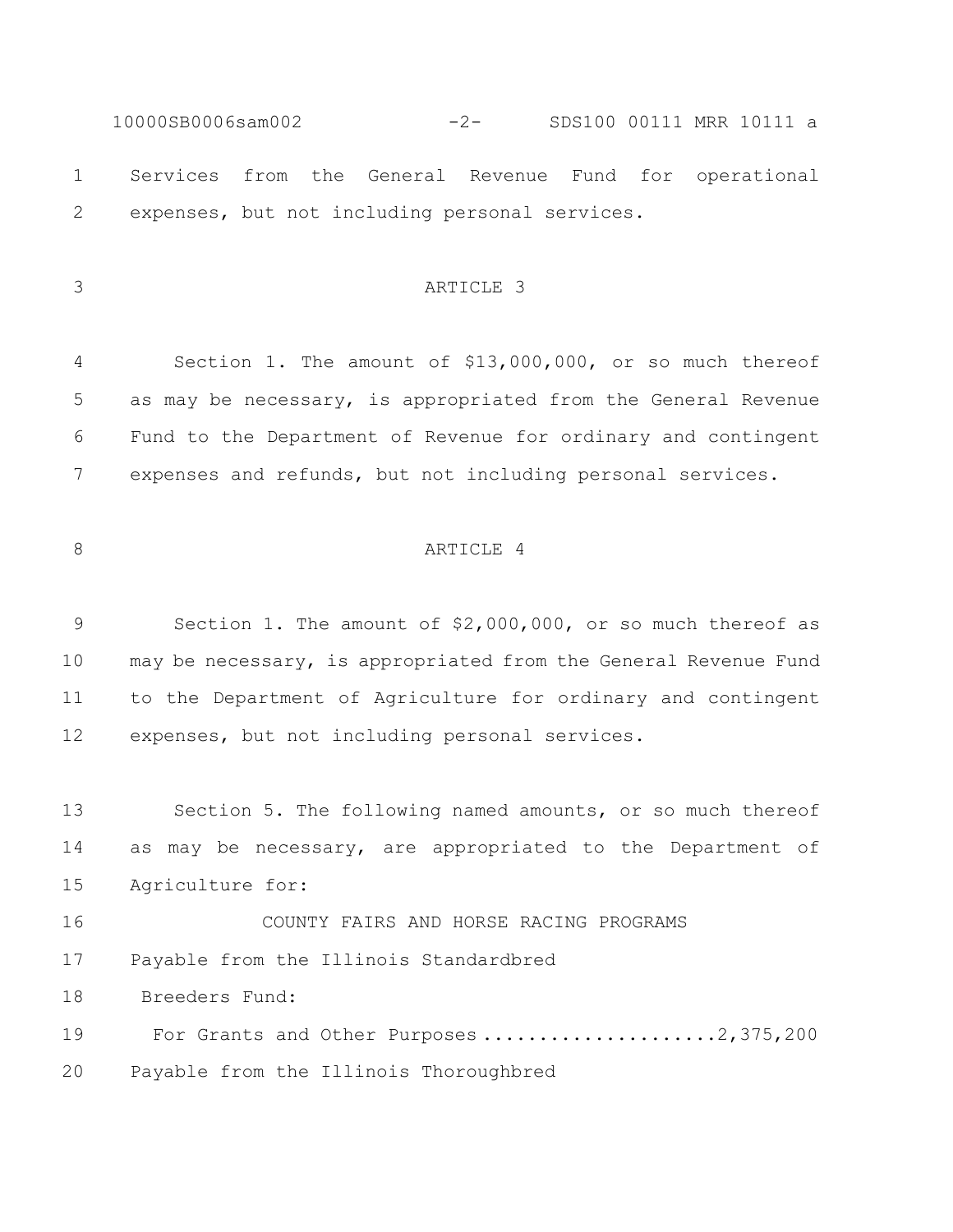10000SB0006sam002 -2- SDS100 00111 MRR 10111 a Services from the General Revenue Fund for operational expenses, but not including personal services.

## ARTICLE 3

 Section 1. The amount of \$13,000,000, or so much thereof as may be necessary, is appropriated from the General Revenue Fund to the Department of Revenue for ordinary and contingent expenses and refunds, but not including personal services.

# 8 ARTICLE 4

 Section 1. The amount of \$2,000,000, or so much thereof as may be necessary, is appropriated from the General Revenue Fund to the Department of Agriculture for ordinary and contingent expenses, but not including personal services.

 Section 5. The following named amounts, or so much thereof as may be necessary, are appropriated to the Department of Agriculture for:

 COUNTY FAIRS AND HORSE RACING PROGRAMS Payable from the Illinois Standardbred

Breeders Fund:

19 For Grants and Other Purposes .....................2,375,200

Payable from the Illinois Thoroughbred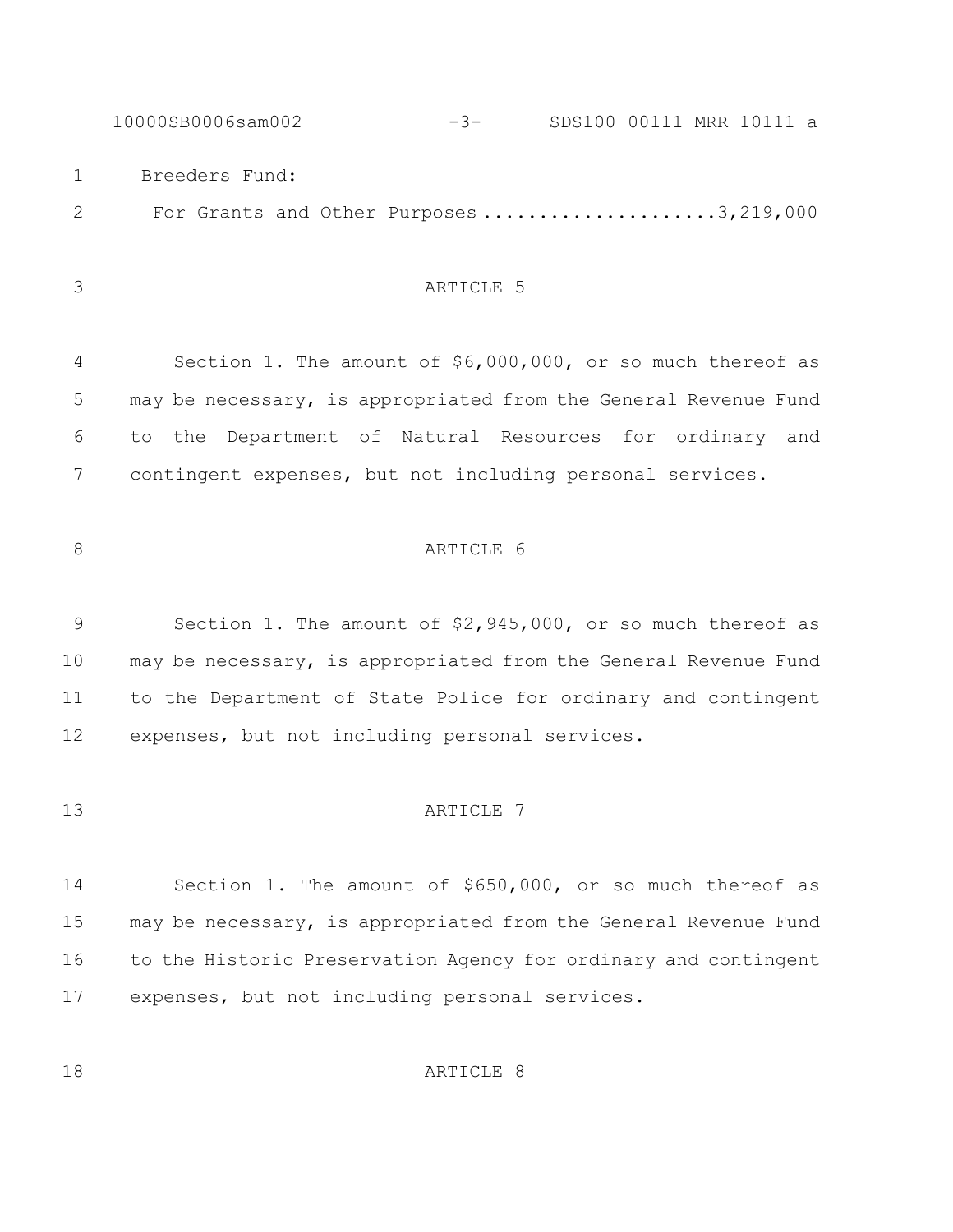10000SB0006sam002 -3- SDS100 00111 MRR 10111 a Breeders Fund: 2 For Grants and Other Purposes .....................3,219,000

# ARTICLE 5

 Section 1. The amount of \$6,000,000, or so much thereof as may be necessary, is appropriated from the General Revenue Fund to the Department of Natural Resources for ordinary and contingent expenses, but not including personal services.

# 8 ARTICLE 6

 Section 1. The amount of \$2,945,000, or so much thereof as may be necessary, is appropriated from the General Revenue Fund to the Department of State Police for ordinary and contingent expenses, but not including personal services.

#### 13 ARTICLE 7

 Section 1. The amount of \$650,000, or so much thereof as may be necessary, is appropriated from the General Revenue Fund to the Historic Preservation Agency for ordinary and contingent expenses, but not including personal services.

18 ARTICLE 8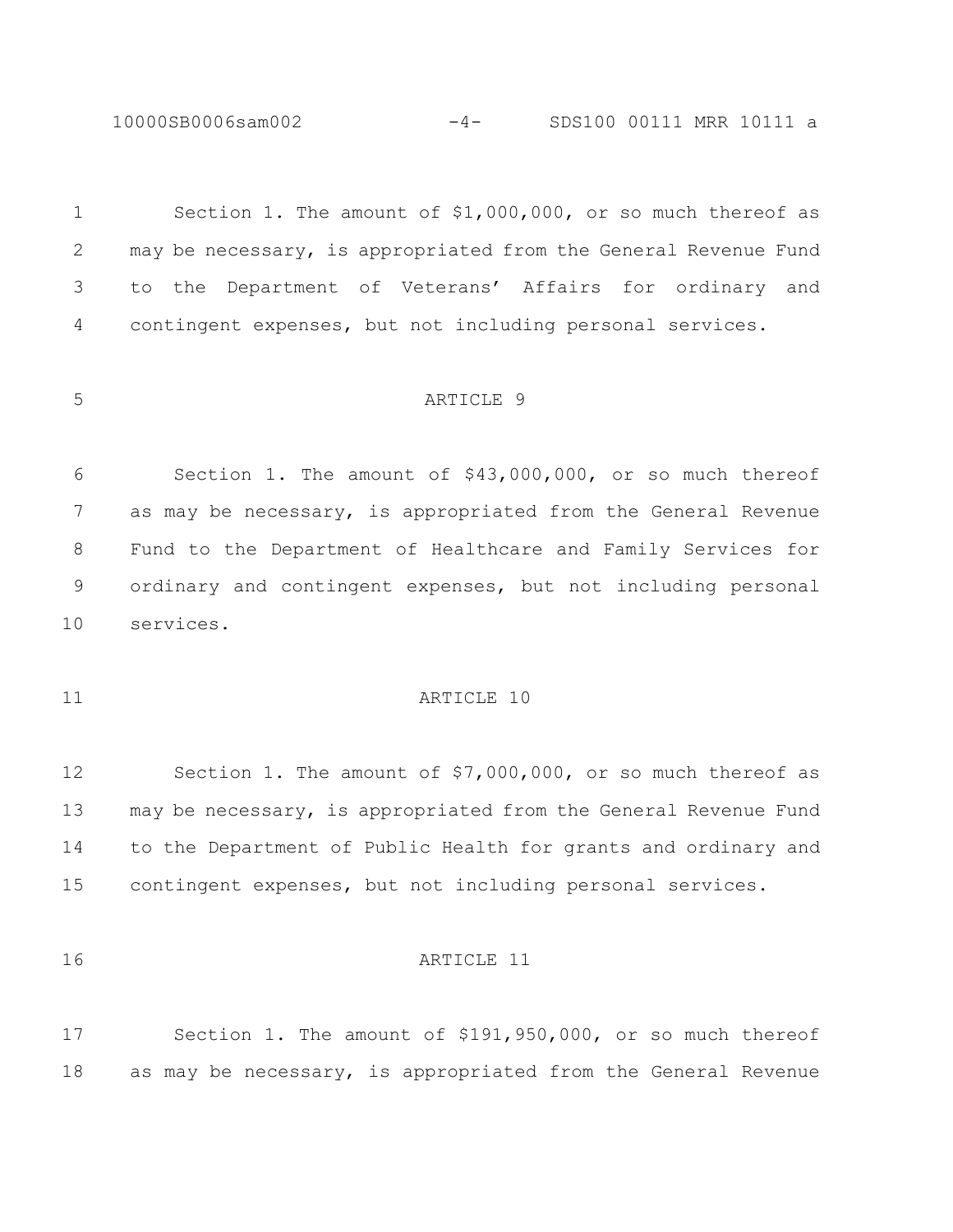10000SB0006sam002 -4- SDS100 00111 MRR 10111 a

 Section 1. The amount of \$1,000,000, or so much thereof as may be necessary, is appropriated from the General Revenue Fund to the Department of Veterans' Affairs for ordinary and contingent expenses, but not including personal services.

#### ARTICLE 9

 Section 1. The amount of \$43,000,000, or so much thereof as may be necessary, is appropriated from the General Revenue Fund to the Department of Healthcare and Family Services for ordinary and contingent expenses, but not including personal services.

# 11 ARTICLE 10

 Section 1. The amount of \$7,000,000, or so much thereof as may be necessary, is appropriated from the General Revenue Fund to the Department of Public Health for grants and ordinary and contingent expenses, but not including personal services.

#### ARTICLE 11

 Section 1. The amount of \$191,950,000, or so much thereof as may be necessary, is appropriated from the General Revenue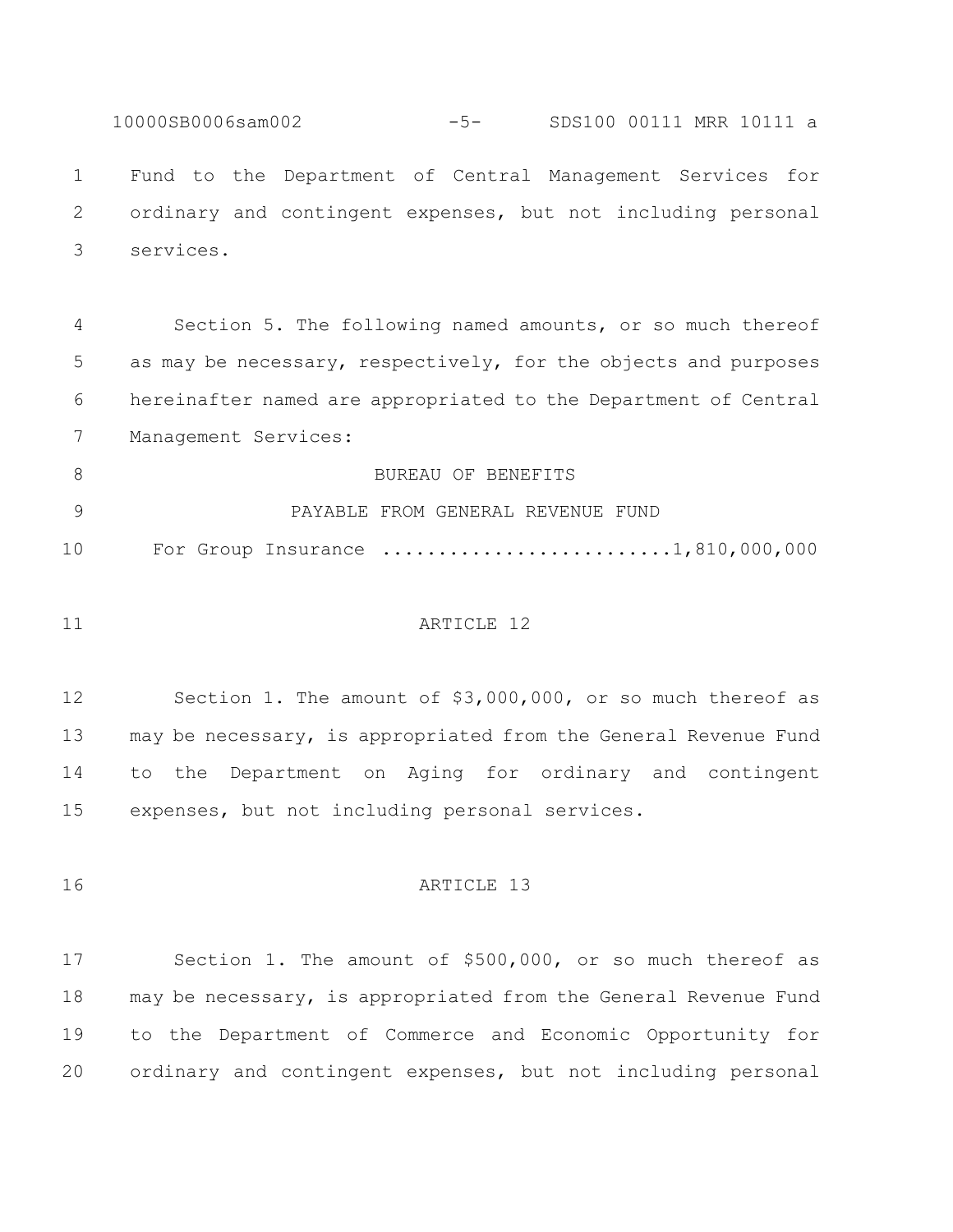10000SB0006sam002 -5- SDS100 00111 MRR 10111 a Fund to the Department of Central Management Services for ordinary and contingent expenses, but not including personal services.

 Section 5. The following named amounts, or so much thereof as may be necessary, respectively, for the objects and purposes hereinafter named are appropriated to the Department of Central Management Services:

8 BUREAU OF BENEFITS PAYABLE FROM GENERAL REVENUE FUND 10 For Group Insurance ..........................1,810,000,000

#### 11 ARTICLE 12

 Section 1. The amount of \$3,000,000, or so much thereof as may be necessary, is appropriated from the General Revenue Fund to the Department on Aging for ordinary and contingent expenses, but not including personal services.

16 ARTICLE 13

 Section 1. The amount of \$500,000, or so much thereof as may be necessary, is appropriated from the General Revenue Fund to the Department of Commerce and Economic Opportunity for ordinary and contingent expenses, but not including personal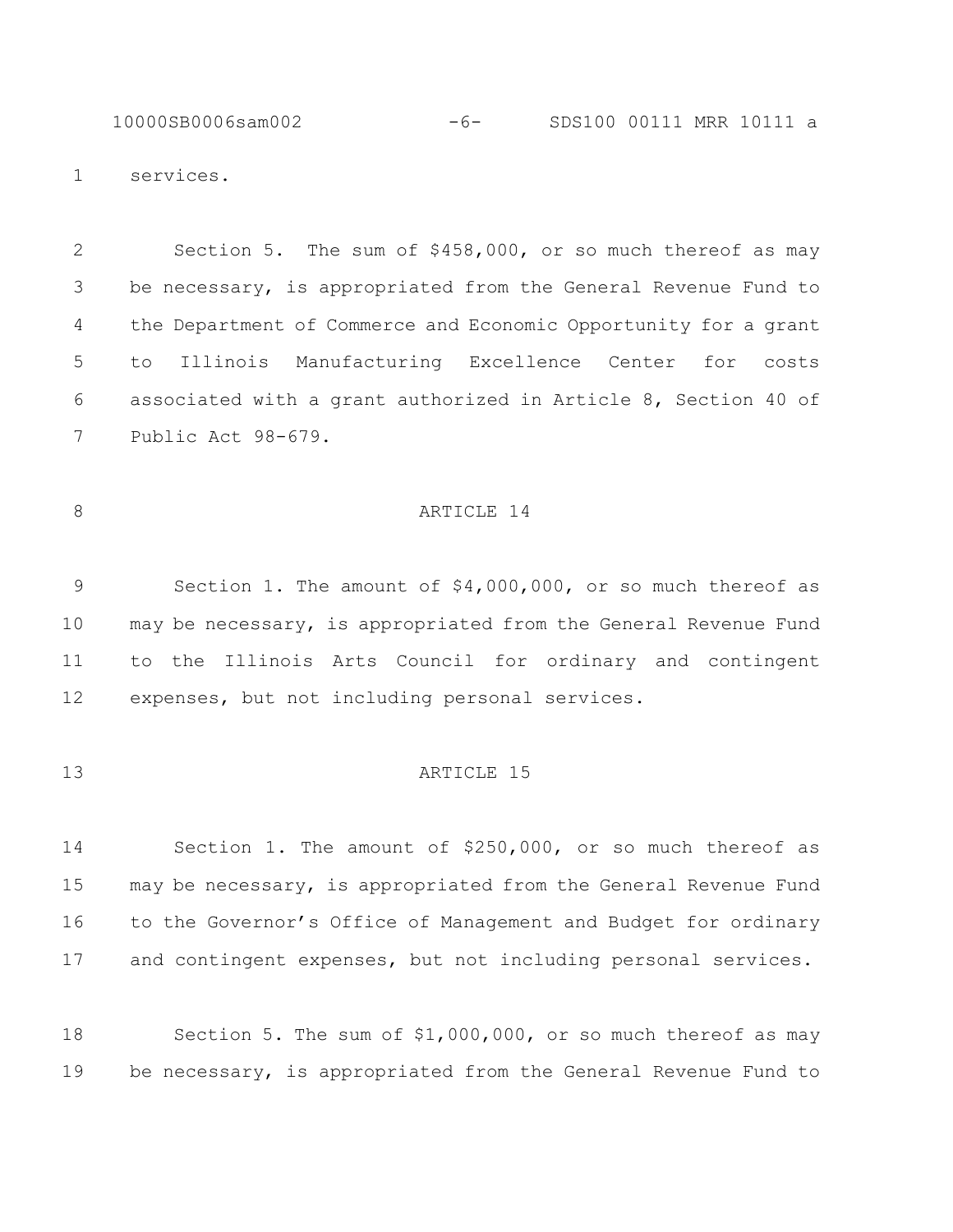10000SB0006sam002 -6- SDS100 00111 MRR 10111 a

services.

 Section 5. The sum of \$458,000, or so much thereof as may be necessary, is appropriated from the General Revenue Fund to the Department of Commerce and Economic Opportunity for a grant to Illinois Manufacturing Excellence Center for costs associated with a grant authorized in Article 8, Section 40 of Public Act 98-679.

### 8 ARTICLE 14

 Section 1. The amount of \$4,000,000, or so much thereof as may be necessary, is appropriated from the General Revenue Fund to the Illinois Arts Council for ordinary and contingent expenses, but not including personal services.

### **ARTICLE** 15

 Section 1. The amount of \$250,000, or so much thereof as may be necessary, is appropriated from the General Revenue Fund to the Governor's Office of Management and Budget for ordinary and contingent expenses, but not including personal services.

 Section 5. The sum of \$1,000,000, or so much thereof as may be necessary, is appropriated from the General Revenue Fund to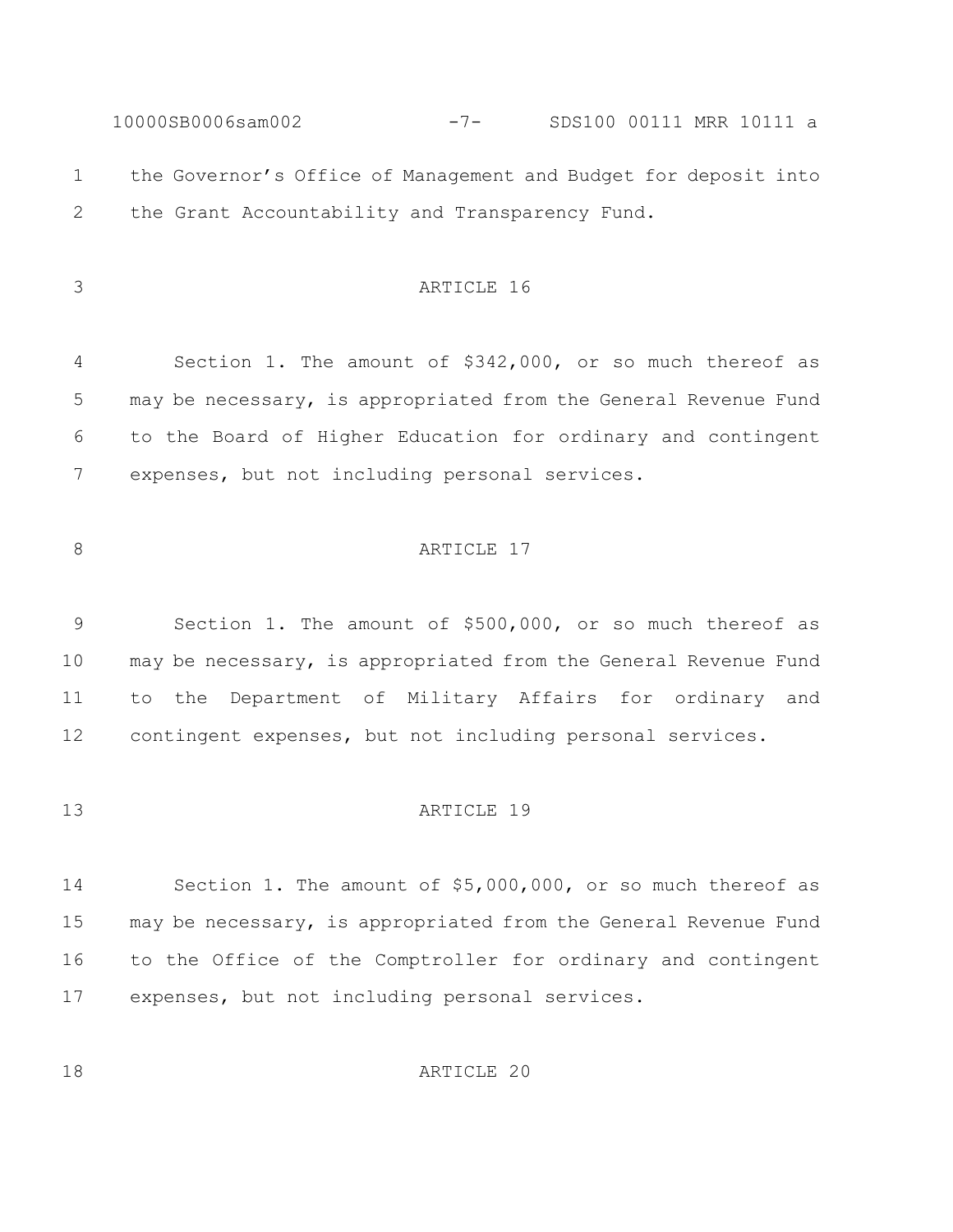10000SB0006sam002 -7- SDS100 00111 MRR 10111 a the Governor's Office of Management and Budget for deposit into the Grant Accountability and Transparency Fund. ARTICLE 16 Section 1. The amount of \$342,000, or so much thereof as may be necessary, is appropriated from the General Revenue Fund to the Board of Higher Education for ordinary and contingent

expenses, but not including personal services.

# 8 ARTICLE 17

 Section 1. The amount of \$500,000, or so much thereof as may be necessary, is appropriated from the General Revenue Fund to the Department of Military Affairs for ordinary and contingent expenses, but not including personal services.

#### **ARTICLE** 19

 Section 1. The amount of \$5,000,000, or so much thereof as may be necessary, is appropriated from the General Revenue Fund to the Office of the Comptroller for ordinary and contingent expenses, but not including personal services.

**ARTICLE** 20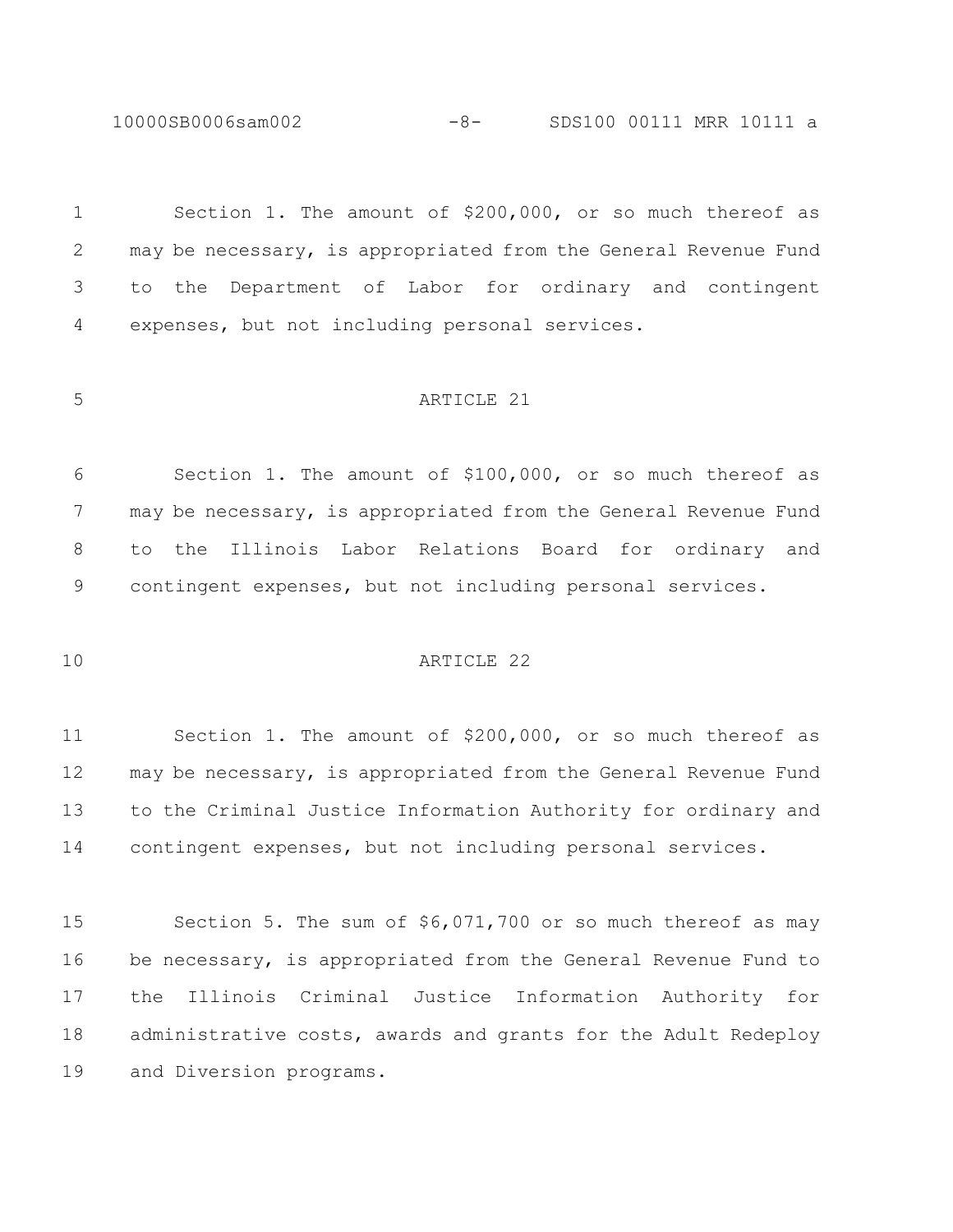10000SB0006sam002 -8- SDS100 00111 MRR 10111 a

 Section 1. The amount of \$200,000, or so much thereof as may be necessary, is appropriated from the General Revenue Fund to the Department of Labor for ordinary and contingent expenses, but not including personal services.

#### ARTICLE 21

 Section 1. The amount of \$100,000, or so much thereof as 7 may be necessary, is appropriated from the General Revenue Fund to the Illinois Labor Relations Board for ordinary and contingent expenses, but not including personal services.

#### ARTICLE 22

 Section 1. The amount of \$200,000, or so much thereof as may be necessary, is appropriated from the General Revenue Fund to the Criminal Justice Information Authority for ordinary and contingent expenses, but not including personal services.

 Section 5. The sum of \$6,071,700 or so much thereof as may be necessary, is appropriated from the General Revenue Fund to the Illinois Criminal Justice Information Authority for administrative costs, awards and grants for the Adult Redeploy and Diversion programs.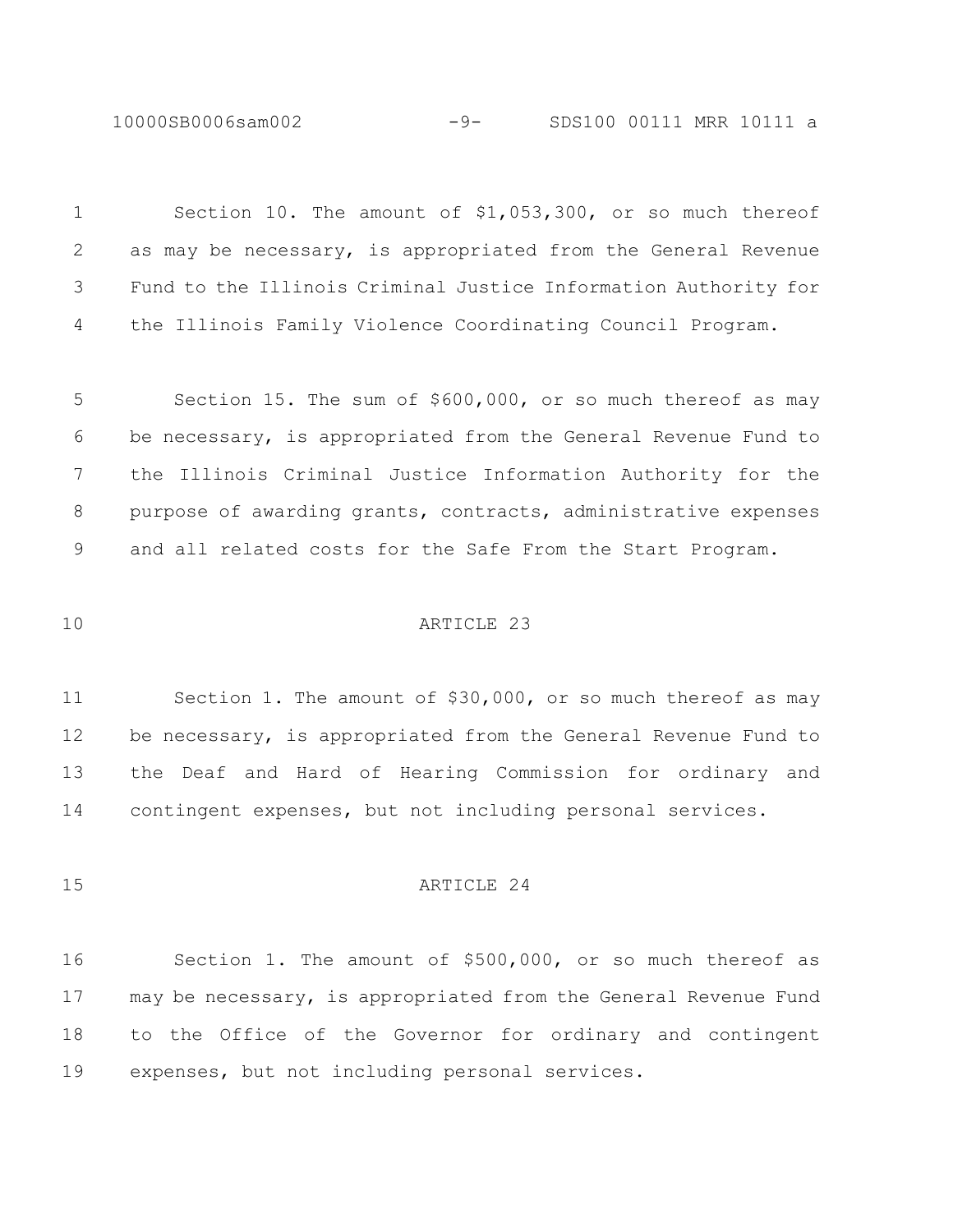10000SB0006sam002 -9- SDS100 00111 MRR 10111 a

| $\mathbf 1$ | Section 10. The amount of \$1,053,300, or so much thereof       |
|-------------|-----------------------------------------------------------------|
| 2           | as may be necessary, is appropriated from the General Revenue   |
| 3           | Fund to the Illinois Criminal Justice Information Authority for |
| 4           | the Illinois Family Violence Coordinating Council Program.      |
|             |                                                                 |
| 5           | Section 15. The sum of \$600,000, or so much thereof as may     |
| 6           | be necessary, is appropriated from the General Revenue Fund to  |
| 7           | the Illinois Criminal Justice Information Authority for the     |
| 8           | purpose of awarding grants, contracts, administrative expenses  |
| 9           | and all related costs for the Safe From the Start Program.      |
|             |                                                                 |
| 10          | ARTICLE 23                                                      |
|             |                                                                 |
| 11          | Section 1. The amount of \$30,000, or so much thereof as may    |
| 12          | be necessary, is appropriated from the General Revenue Fund to  |
| 13          | the Deaf and Hard of Hearing Commission for ordinary and        |
| 14          | contingent expenses, but not including personal services.       |
|             |                                                                 |
| 15          | ARTICLE 24                                                      |
|             |                                                                 |
| 16          | Section 1. The amount of \$500,000, or so much thereof as       |
| 17          | may be necessary, is appropriated from the General Revenue Fund |
| 18          | the Office of the Governor for ordinary and contingent<br>to    |

expenses, but not including personal services.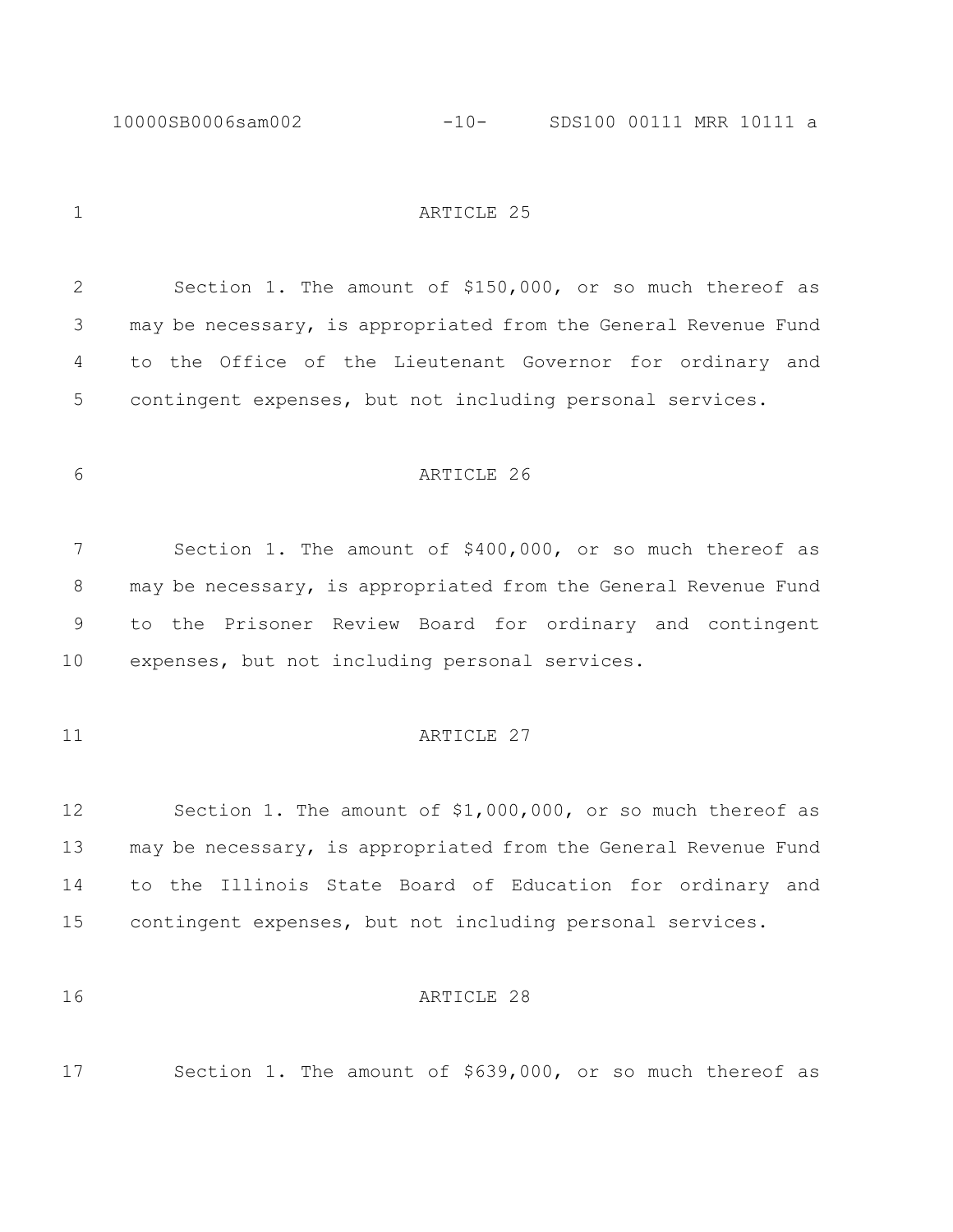1 ARTICLE 25

 Section 1. The amount of \$150,000, or so much thereof as may be necessary, is appropriated from the General Revenue Fund to the Office of the Lieutenant Governor for ordinary and contingent expenses, but not including personal services.

# ARTICLE 26

 Section 1. The amount of \$400,000, or so much thereof as 8 may be necessary, is appropriated from the General Revenue Fund to the Prisoner Review Board for ordinary and contingent expenses, but not including personal services.

## 11 ARTICLE 27

 Section 1. The amount of \$1,000,000, or so much thereof as may be necessary, is appropriated from the General Revenue Fund to the Illinois State Board of Education for ordinary and contingent expenses, but not including personal services.

#### **ARTICLE** 28

Section 1. The amount of \$639,000, or so much thereof as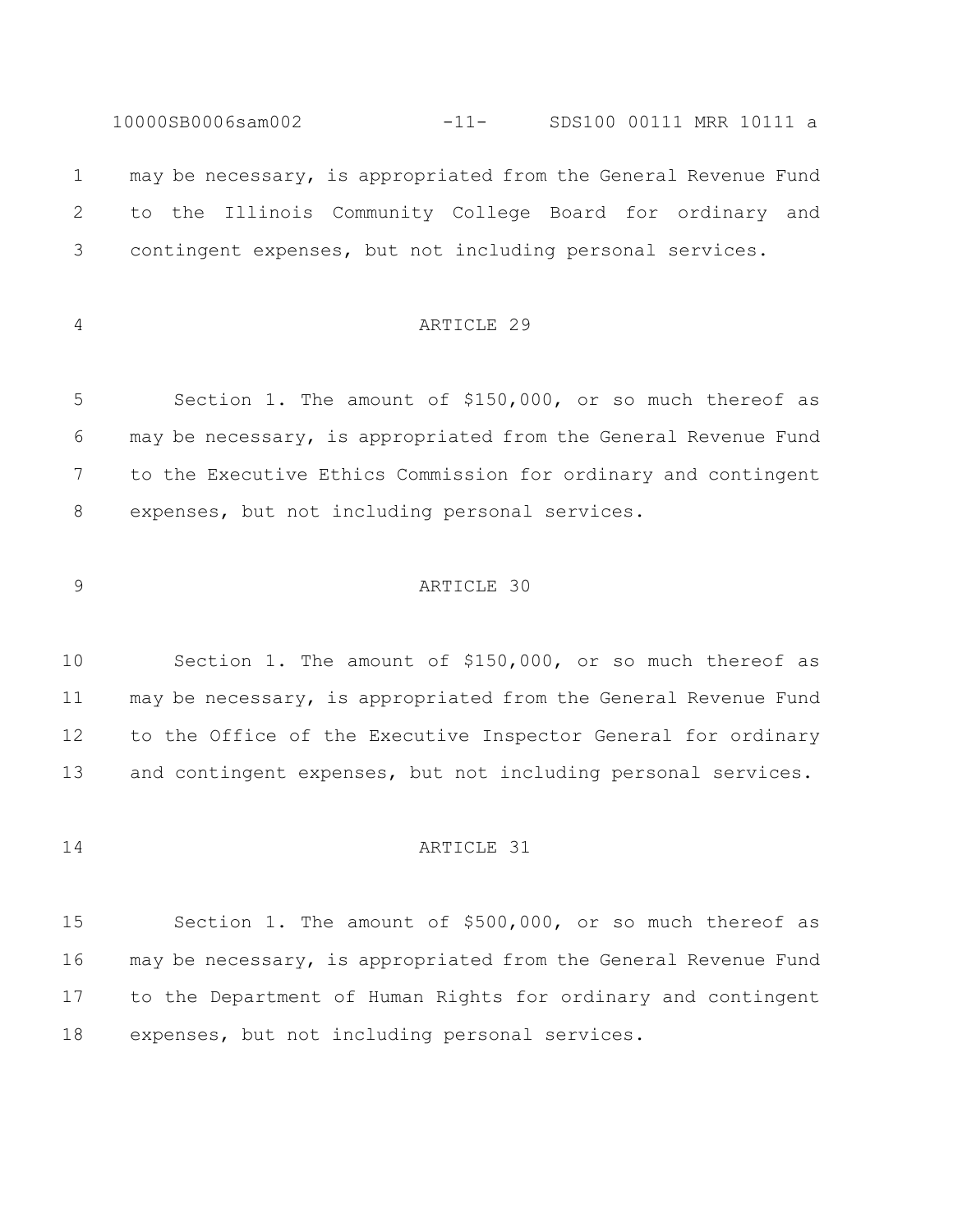may be necessary, is appropriated from the General Revenue Fund to the Illinois Community College Board for ordinary and contingent expenses, but not including personal services.

10000SB0006sam002 -11- SDS100 00111 MRR 10111 a

# ARTICLE 29

 Section 1. The amount of \$150,000, or so much thereof as may be necessary, is appropriated from the General Revenue Fund to the Executive Ethics Commission for ordinary and contingent expenses, but not including personal services.

## ARTICLE 30

 Section 1. The amount of \$150,000, or so much thereof as may be necessary, is appropriated from the General Revenue Fund to the Office of the Executive Inspector General for ordinary and contingent expenses, but not including personal services.

# ARTICLE 31

 Section 1. The amount of \$500,000, or so much thereof as may be necessary, is appropriated from the General Revenue Fund to the Department of Human Rights for ordinary and contingent expenses, but not including personal services.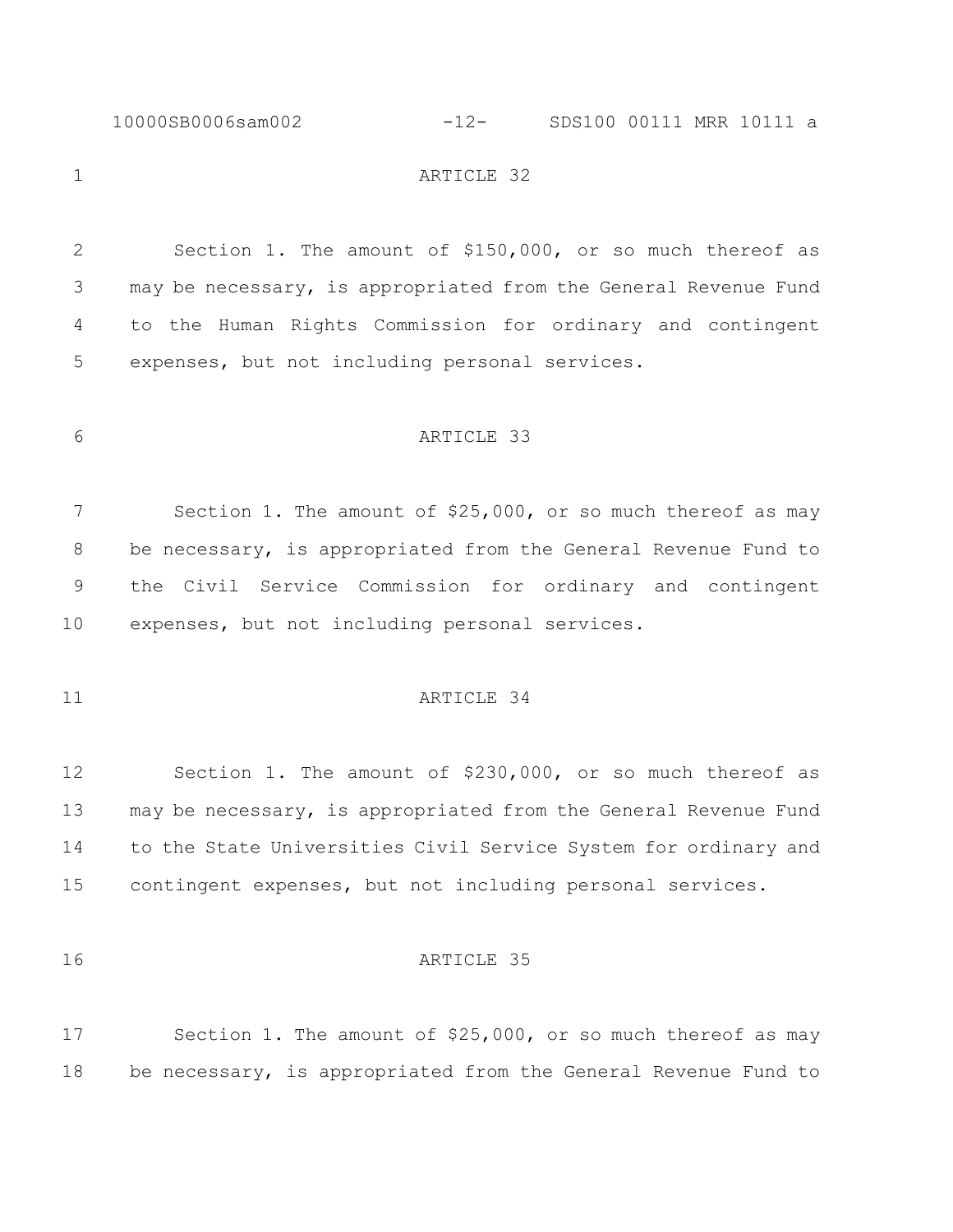#### 10000SB0006sam002 -12- SDS100 00111 MRR 10111 a

# 1 ARTICLE 32

 Section 1. The amount of \$150,000, or so much thereof as may be necessary, is appropriated from the General Revenue Fund to the Human Rights Commission for ordinary and contingent expenses, but not including personal services.

# ARTICLE 33

7 Section 1. The amount of \$25,000, or so much thereof as may be necessary, is appropriated from the General Revenue Fund to the Civil Service Commission for ordinary and contingent expenses, but not including personal services.

# 11 ARTICLE 34

 Section 1. The amount of \$230,000, or so much thereof as may be necessary, is appropriated from the General Revenue Fund to the State Universities Civil Service System for ordinary and contingent expenses, but not including personal services.

#### 16 ARTICLE 35

 Section 1. The amount of \$25,000, or so much thereof as may be necessary, is appropriated from the General Revenue Fund to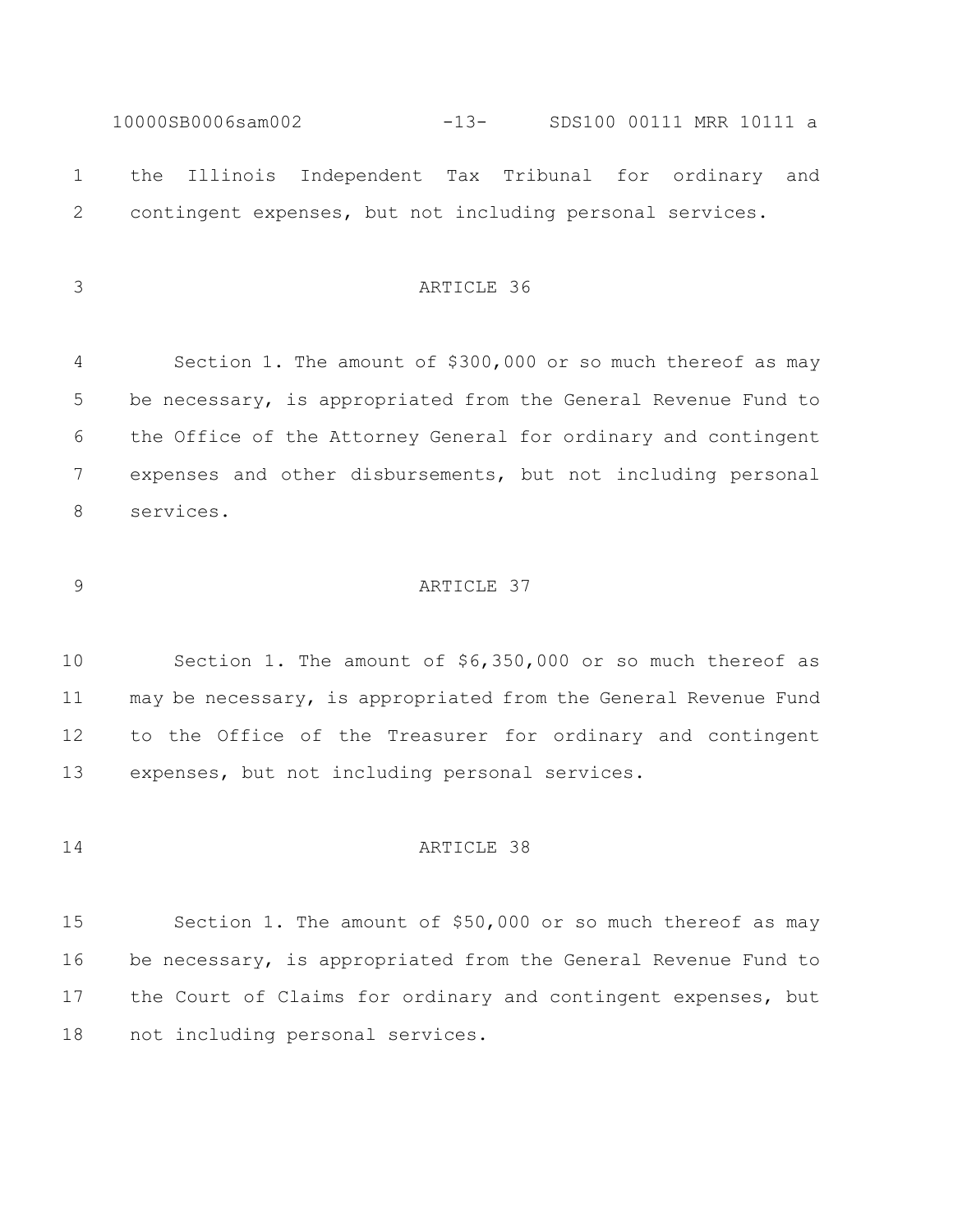10000SB0006sam002 -13- SDS100 00111 MRR 10111 a the Illinois Independent Tax Tribunal for ordinary and contingent expenses, but not including personal services.

ARTICLE 36

 Section 1. The amount of \$300,000 or so much thereof as may be necessary, is appropriated from the General Revenue Fund to the Office of the Attorney General for ordinary and contingent expenses and other disbursements, but not including personal services.

# ARTICLE 37

 Section 1. The amount of \$6,350,000 or so much thereof as may be necessary, is appropriated from the General Revenue Fund to the Office of the Treasurer for ordinary and contingent expenses, but not including personal services.

# ARTICLE 38

 Section 1. The amount of \$50,000 or so much thereof as may be necessary, is appropriated from the General Revenue Fund to the Court of Claims for ordinary and contingent expenses, but not including personal services.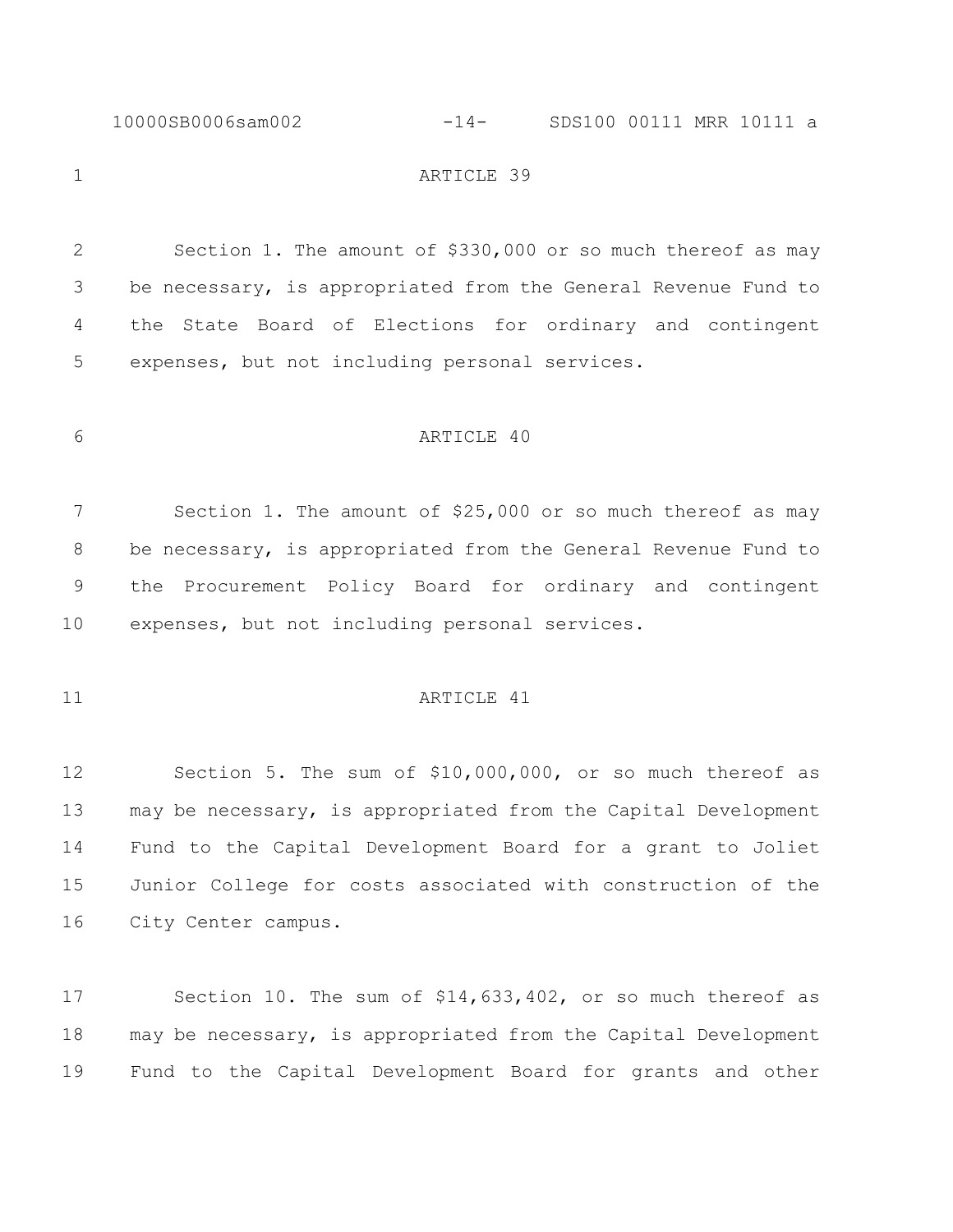10000SB0006sam002 -14- SDS100 00111 MRR 10111 a

1 ARTICLE 39

 Section 1. The amount of \$330,000 or so much thereof as may be necessary, is appropriated from the General Revenue Fund to the State Board of Elections for ordinary and contingent expenses, but not including personal services.

# ARTICLE 40

 Section 1. The amount of \$25,000 or so much thereof as may be necessary, is appropriated from the General Revenue Fund to the Procurement Policy Board for ordinary and contingent expenses, but not including personal services.

# 11 ARTICLE 41

 Section 5. The sum of \$10,000,000, or so much thereof as may be necessary, is appropriated from the Capital Development Fund to the Capital Development Board for a grant to Joliet Junior College for costs associated with construction of the City Center campus.

 Section 10. The sum of \$14,633,402, or so much thereof as may be necessary, is appropriated from the Capital Development Fund to the Capital Development Board for grants and other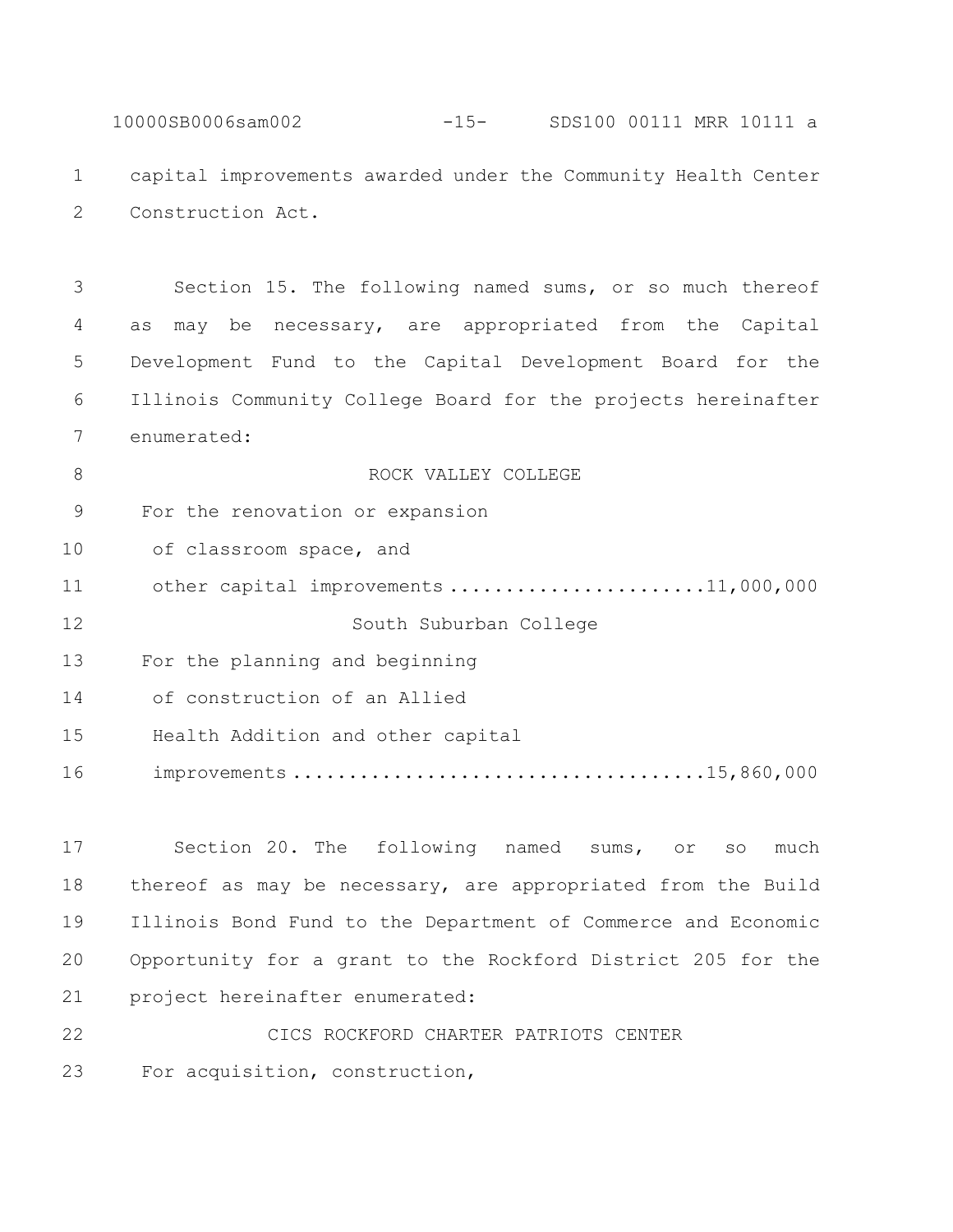10000SB0006sam002 -15- SDS100 00111 MRR 10111 a capital improvements awarded under the Community Health Center Construction Act.

 Section 15. The following named sums, or so much thereof as may be necessary, are appropriated from the Capital Development Fund to the Capital Development Board for the Illinois Community College Board for the projects hereinafter enumerated:

**B** ROCK VALLEY COLLEGE For the renovation or expansion 10 of classroom space, and 11 other capital improvements .........................11,000,000 South Suburban College For the planning and beginning of construction of an Allied Health Addition and other capital improvements .....................................15,860,000

 Section 20. The following named sums, or so much thereof as may be necessary, are appropriated from the Build Illinois Bond Fund to the Department of Commerce and Economic Opportunity for a grant to the Rockford District 205 for the project hereinafter enumerated:

 CICS ROCKFORD CHARTER PATRIOTS CENTER For acquisition, construction,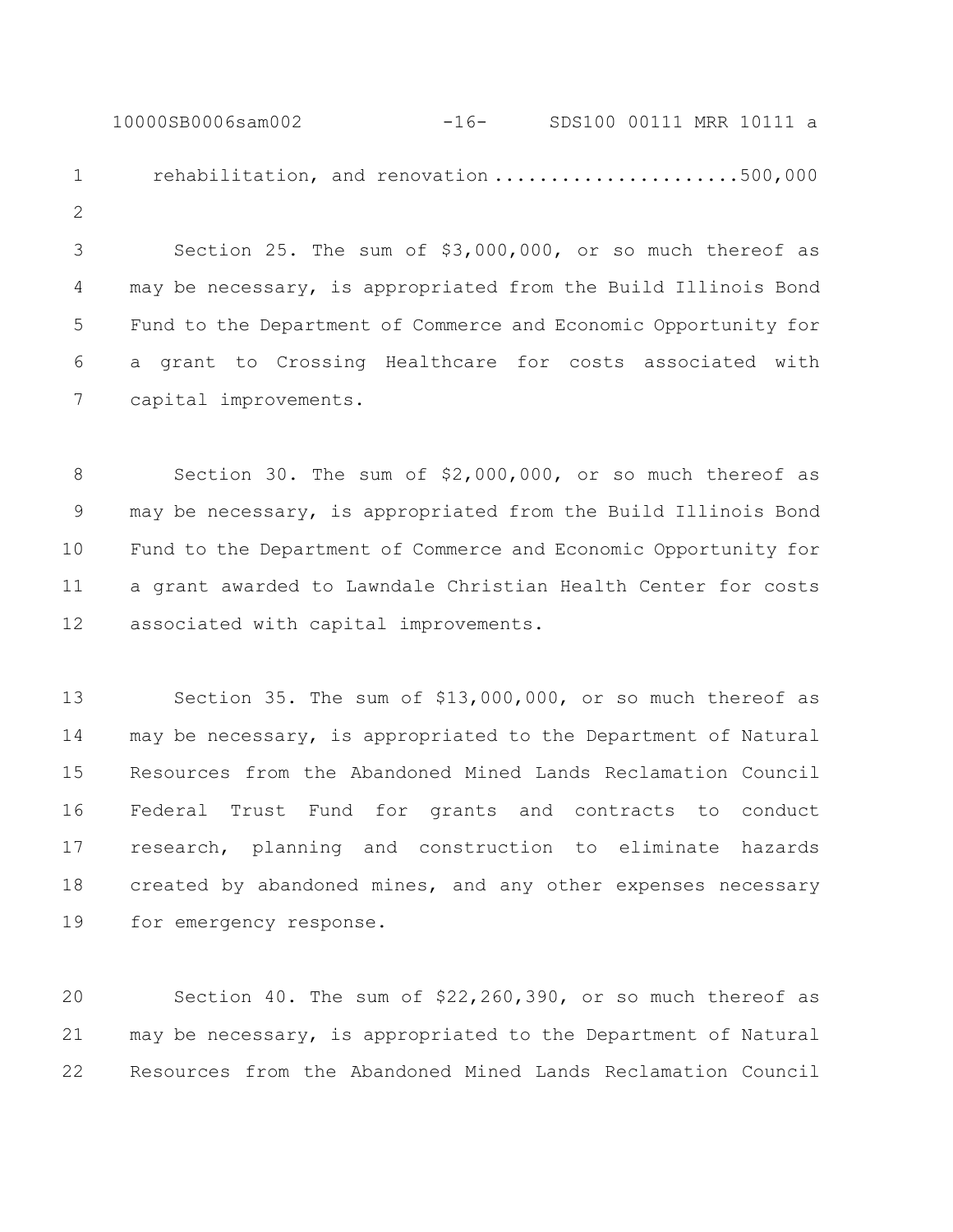10000SB0006sam002 -16- SDS100 00111 MRR 10111 a 1 rehabilitation, and renovation ........................500,000 

 Section 25. The sum of \$3,000,000, or so much thereof as may be necessary, is appropriated from the Build Illinois Bond Fund to the Department of Commerce and Economic Opportunity for a grant to Crossing Healthcare for costs associated with capital improvements.

 Section 30. The sum of \$2,000,000, or so much thereof as may be necessary, is appropriated from the Build Illinois Bond Fund to the Department of Commerce and Economic Opportunity for a grant awarded to Lawndale Christian Health Center for costs associated with capital improvements.

 Section 35. The sum of \$13,000,000, or so much thereof as may be necessary, is appropriated to the Department of Natural Resources from the Abandoned Mined Lands Reclamation Council Federal Trust Fund for grants and contracts to conduct research, planning and construction to eliminate hazards created by abandoned mines, and any other expenses necessary for emergency response.

 Section 40. The sum of \$22,260,390, or so much thereof as may be necessary, is appropriated to the Department of Natural Resources from the Abandoned Mined Lands Reclamation Council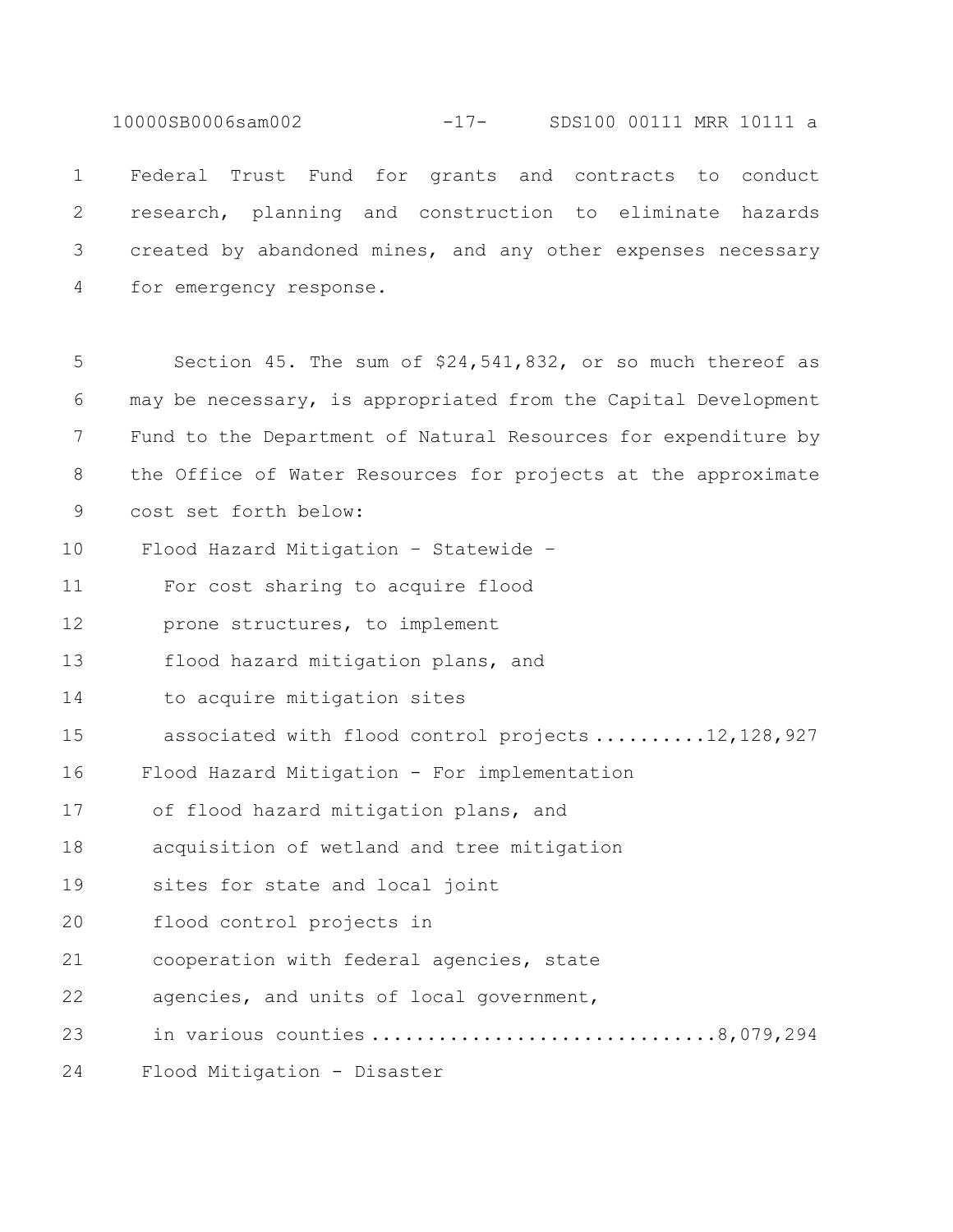10000SB0006sam002 -17- SDS100 00111 MRR 10111 a

 Federal Trust Fund for grants and contracts to conduct research, planning and construction to eliminate hazards created by abandoned mines, and any other expenses necessary for emergency response.

5 Section 45. The sum of \$24,541,832, or so much thereof as 6 may be necessary, is appropriated from the Capital Development 7 Fund to the Department of Natural Resources for expenditure by 8 the Office of Water Resources for projects at the approximate 9 cost set forth below: 10 Flood Hazard Mitigation – Statewide – 11 For cost sharing to acquire flood 12 prone structures, to implement 13 flood hazard mitigation plans, and 14 to acquire mitigation sites 15 associated with flood control projects ..........12,128,927 16 Flood Hazard Mitigation - For implementation 17 of flood hazard mitigation plans, and 18 acquisition of wetland and tree mitigation 19 sites for state and local joint 20 flood control projects in 21 cooperation with federal agencies, state 22 agencies, and units of local government, 23 in various counties ...............................8,079,294 24 Flood Mitigation - Disaster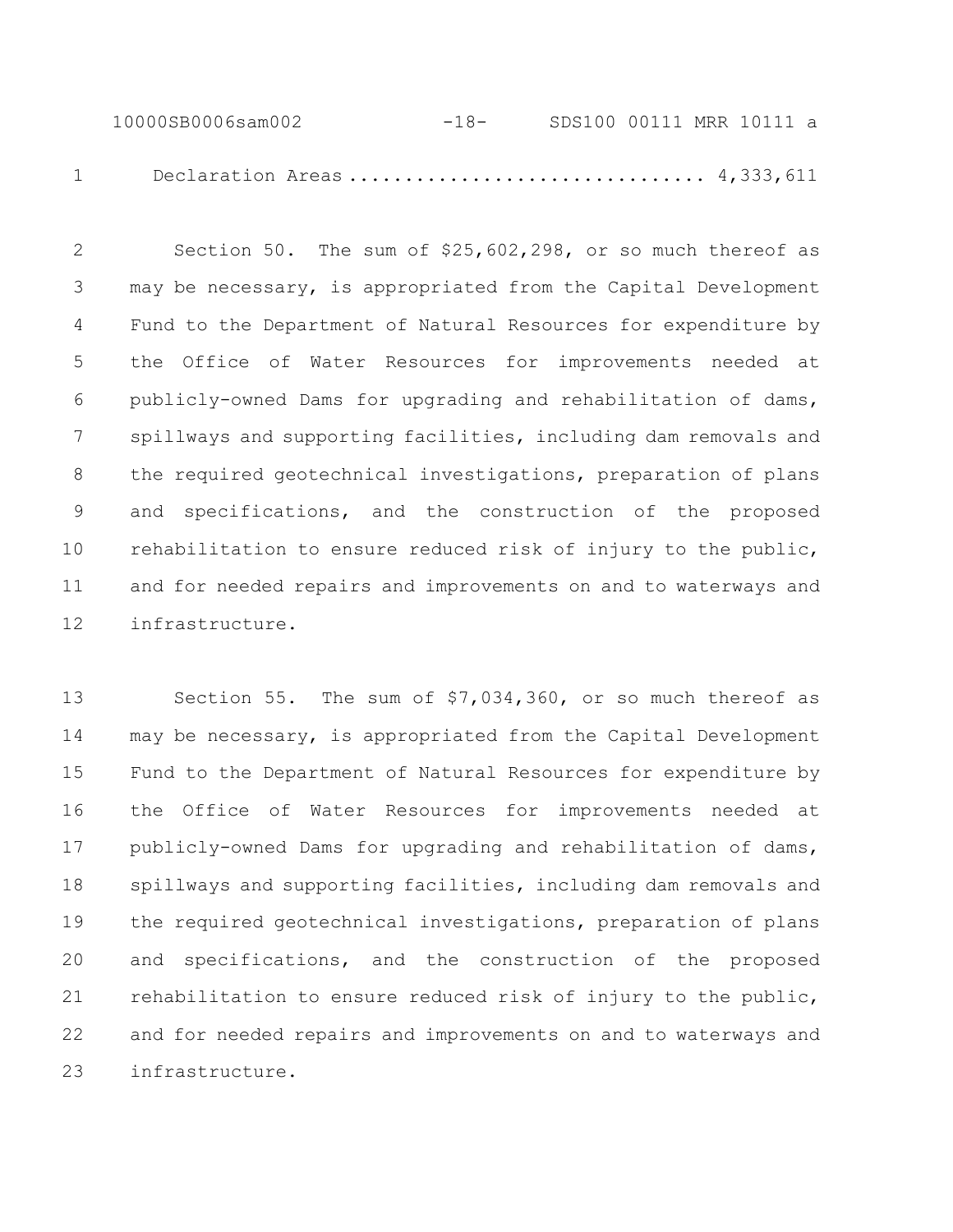10000SB0006sam002 -18- SDS100 00111 MRR 10111 a 1 Declaration Areas ................................ 4,333,611

 Section 50. The sum of \$25,602,298, or so much thereof as may be necessary, is appropriated from the Capital Development Fund to the Department of Natural Resources for expenditure by the Office of Water Resources for improvements needed at publicly-owned Dams for upgrading and rehabilitation of dams, spillways and supporting facilities, including dam removals and the required geotechnical investigations, preparation of plans and specifications, and the construction of the proposed rehabilitation to ensure reduced risk of injury to the public, and for needed repairs and improvements on and to waterways and infrastructure.

 Section 55. The sum of \$7,034,360, or so much thereof as may be necessary, is appropriated from the Capital Development Fund to the Department of Natural Resources for expenditure by the Office of Water Resources for improvements needed at publicly-owned Dams for upgrading and rehabilitation of dams, spillways and supporting facilities, including dam removals and the required geotechnical investigations, preparation of plans and specifications, and the construction of the proposed rehabilitation to ensure reduced risk of injury to the public, and for needed repairs and improvements on and to waterways and infrastructure.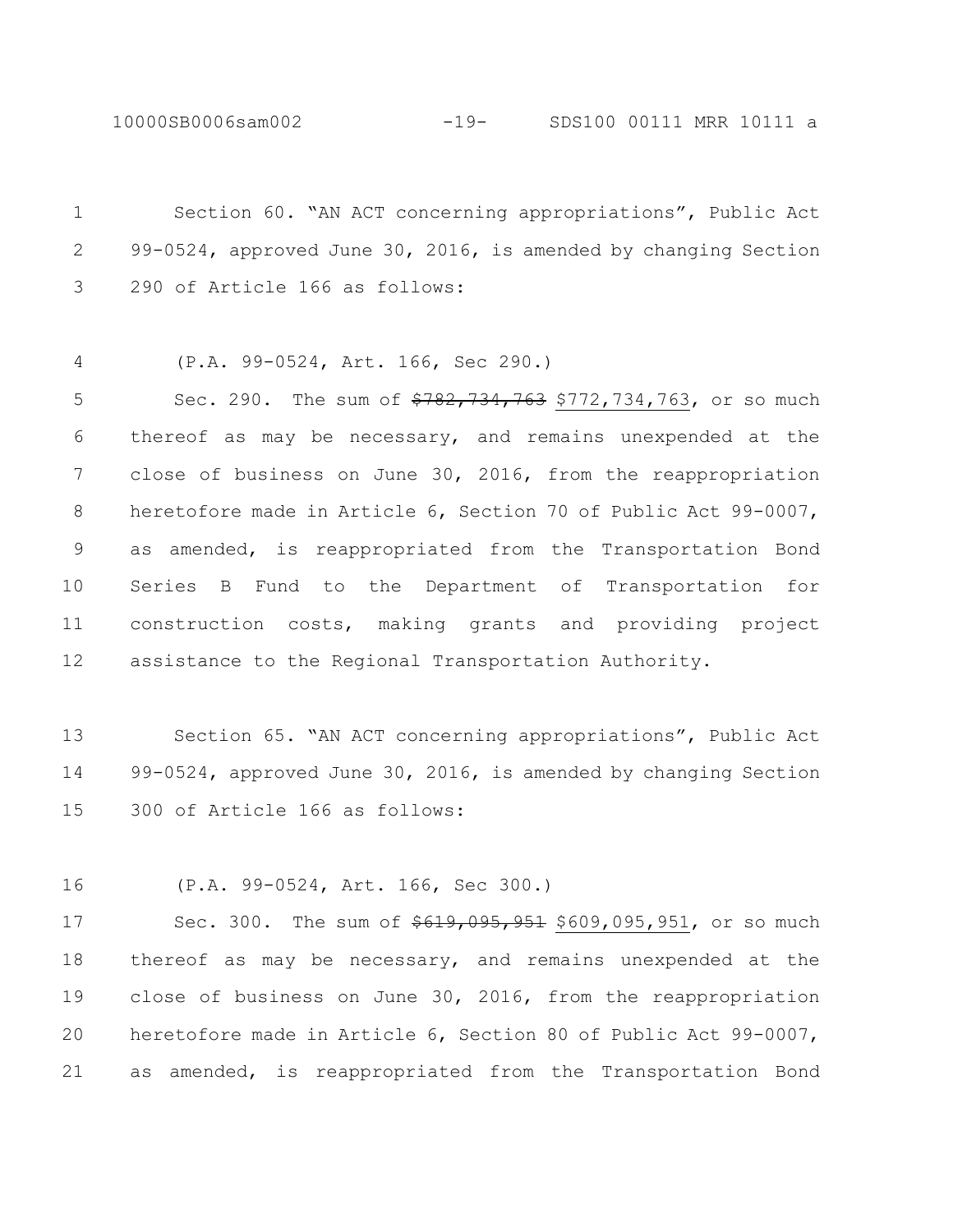Section 60. "AN ACT concerning appropriations", Public Act 99-0524, approved June 30, 2016, is amended by changing Section 290 of Article 166 as follows:

(P.A. 99-0524, Art. 166, Sec 290.)

5 Sec. 290. The sum of  $\frac{290}{782}$ , 734, 763, 734, 763, or so much thereof as may be necessary, and remains unexpended at the close of business on June 30, 2016, from the reappropriation heretofore made in Article 6, Section 70 of Public Act 99-0007, as amended, is reappropriated from the Transportation Bond Series B Fund to the Department of Transportation for construction costs, making grants and providing project assistance to the Regional Transportation Authority.

 Section 65. "AN ACT concerning appropriations", Public Act 99-0524, approved June 30, 2016, is amended by changing Section 300 of Article 166 as follows:

(P.A. 99-0524, Art. 166, Sec 300.)

17 Sec. 300. The sum of  $\frac{619,095,951}{609,095,951}$ , or so much thereof as may be necessary, and remains unexpended at the close of business on June 30, 2016, from the reappropriation heretofore made in Article 6, Section 80 of Public Act 99-0007, as amended, is reappropriated from the Transportation Bond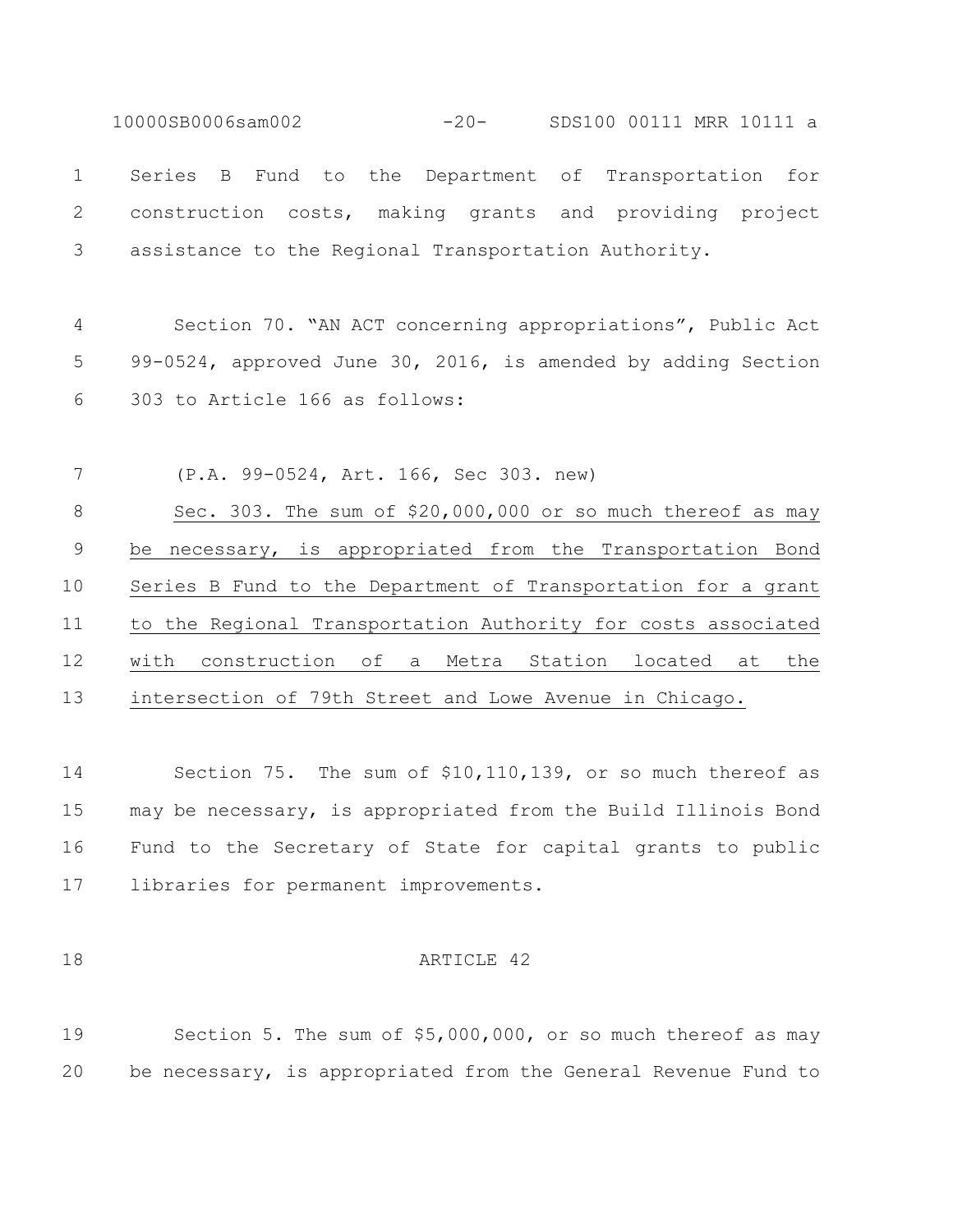10000SB0006sam002 -20- SDS100 00111 MRR 10111 a Series B Fund to the Department of Transportation for construction costs, making grants and providing project assistance to the Regional Transportation Authority.

 Section 70. "AN ACT concerning appropriations", Public Act 99-0524, approved June 30, 2016, is amended by adding Section 303 to Article 166 as follows:

 (P.A. 99-0524, Art. 166, Sec 303. new) 8 Sec. 303. The sum of \$20,000,000 or so much thereof as may be necessary, is appropriated from the Transportation Bond Series B Fund to the Department of Transportation for a grant to the Regional Transportation Authority for costs associated with construction of a Metra Station located at the intersection of 79th Street and Lowe Avenue in Chicago.

 Section 75. The sum of \$10,110,139, or so much thereof as may be necessary, is appropriated from the Build Illinois Bond Fund to the Secretary of State for capital grants to public libraries for permanent improvements.

#### 18 ARTICLE 42

 Section 5. The sum of \$5,000,000, or so much thereof as may be necessary, is appropriated from the General Revenue Fund to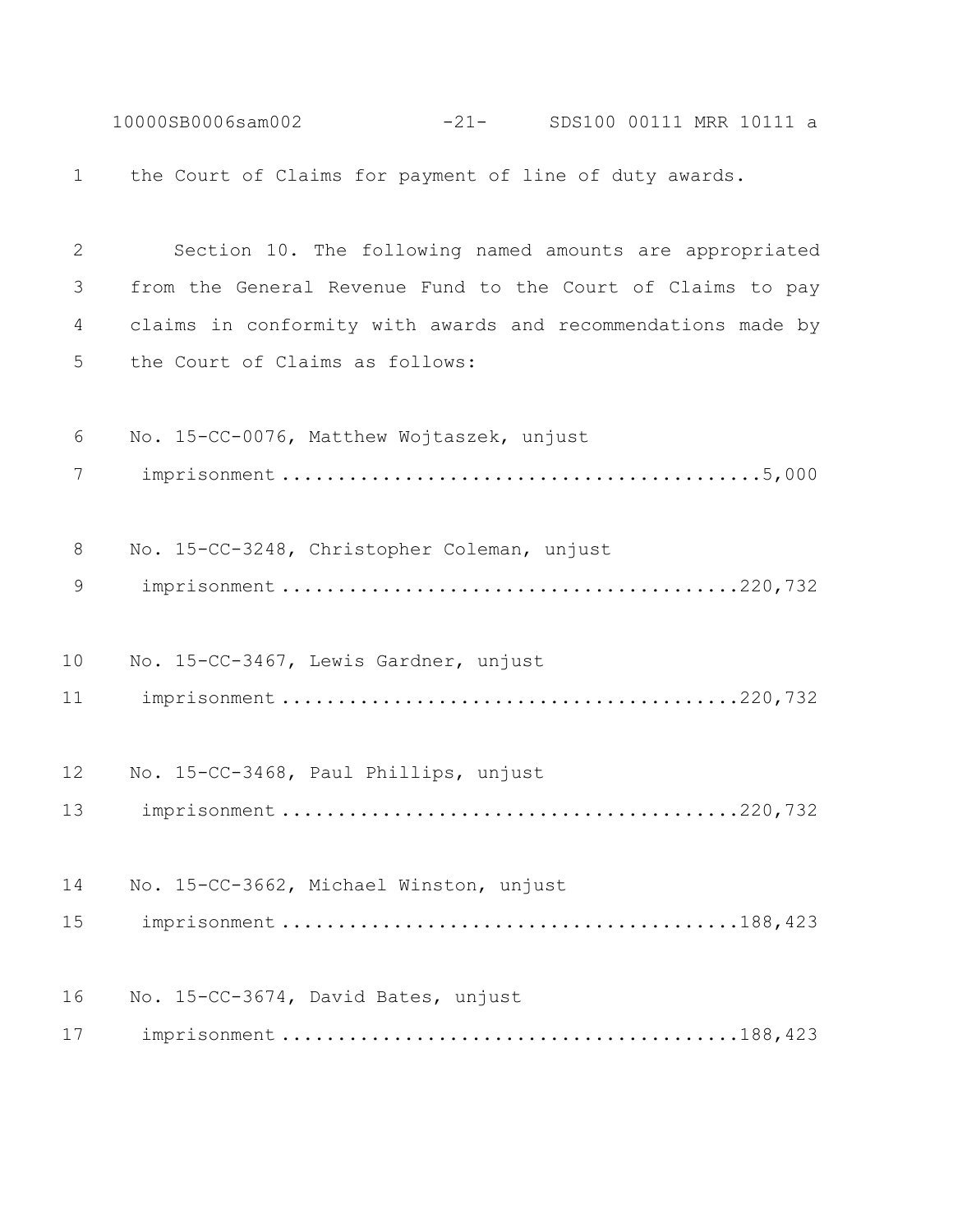10000SB0006sam002 -21- SDS100 00111 MRR 10111 a the Court of Claims for payment of line of duty awards. Section 10. The following named amounts are appropriated from the General Revenue Fund to the Court of Claims to pay claims in conformity with awards and recommendations made by the Court of Claims as follows: No. 15-CC-0076, Matthew Wojtaszek, unjust imprisonment ...........................................5,000 No. 15-CC-3248, Christopher Coleman, unjust imprisonment .........................................220,732 No. 15-CC-3467, Lewis Gardner, unjust imprisonment .........................................220,732 No. 15-CC-3468, Paul Phillips, unjust imprisonment .........................................220,732 No. 15-CC-3662, Michael Winston, unjust imprisonment .........................................188,423 No. 15-CC-3674, David Bates, unjust imprisonment .........................................188,423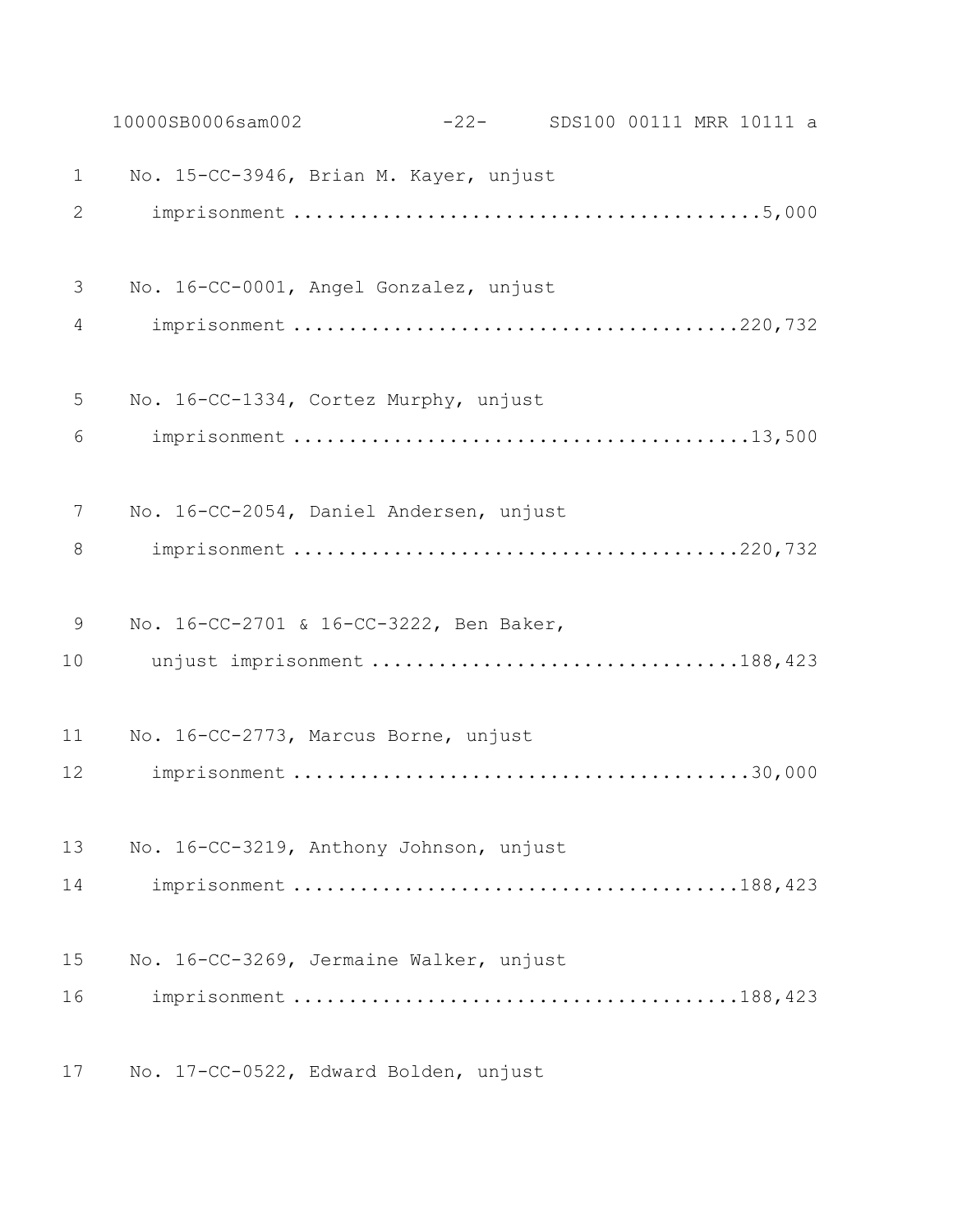|                | 10000SB0006sam002                       | $-22-$ | SDS100 00111 MRR 10111 a |  |  |
|----------------|-----------------------------------------|--------|--------------------------|--|--|
| $\mathbf 1$    | No. 15-CC-3946, Brian M. Kayer, unjust  |        |                          |  |  |
| $\overline{2}$ |                                         |        |                          |  |  |
| 3              | No. 16-CC-0001, Angel Gonzalez, unjust  |        |                          |  |  |
| 4              |                                         |        |                          |  |  |
| 5              | No. 16-CC-1334, Cortez Murphy, unjust   |        |                          |  |  |
| 6              |                                         |        |                          |  |  |
| 7              | No. 16-CC-2054, Daniel Andersen, unjust |        |                          |  |  |
| 8              |                                         |        |                          |  |  |
| 9              | No. 16-CC-2701 & 16-CC-3222, Ben Baker, |        |                          |  |  |
| 10             | unjust imprisonment 188,423             |        |                          |  |  |
| 11             | No. 16-CC-2773, Marcus Borne, unjust    |        |                          |  |  |
| 12             |                                         |        |                          |  |  |
| 13             | No. 16-CC-3219, Anthony Johnson, unjust |        |                          |  |  |
| 14             |                                         |        |                          |  |  |
| 15             | No. 16-CC-3269, Jermaine Walker, unjust |        |                          |  |  |
| 16             |                                         |        |                          |  |  |
| 17             | No. 17-CC-0522, Edward Bolden, unjust   |        |                          |  |  |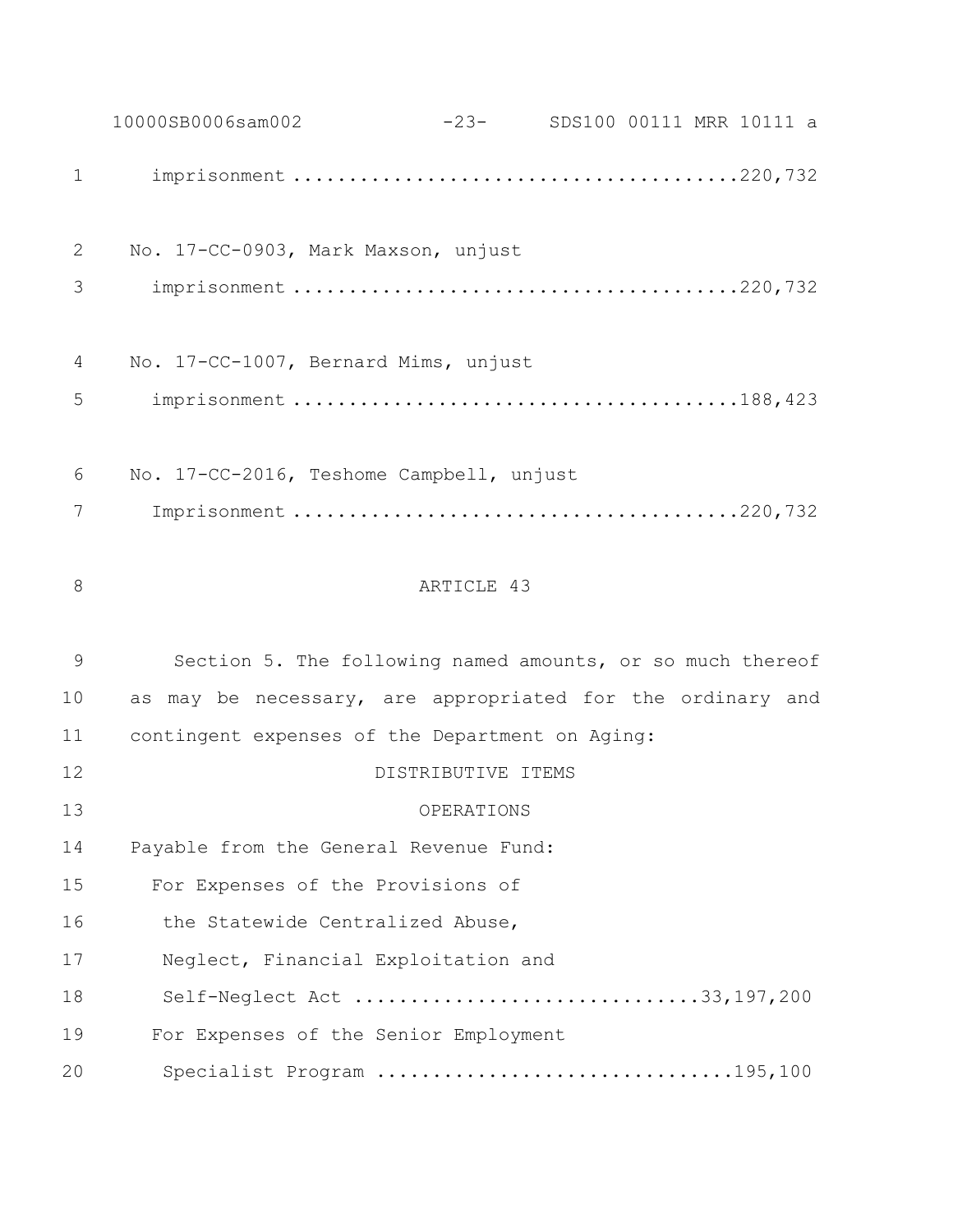10000SB0006sam002 -23- SDS100 00111 MRR 10111 a imprisonment ........................................220,732 No. 17-CC-0903, Mark Maxson, unjust imprisonment ........................................220,732 No. 17-CC-1007, Bernard Mims, unjust imprisonment ........................................188,423 No. 17-CC-2016, Teshome Campbell, unjust Imprisonment ........................................220,732 8 ARTICLE 43 Section 5. The following named amounts, or so much thereof as may be necessary, are appropriated for the ordinary and contingent expenses of the Department on Aging: DISTRIBUTIVE ITEMS OPERATIONS Payable from the General Revenue Fund: For Expenses of the Provisions of 16 the Statewide Centralized Abuse, Neglect, Financial Exploitation and Self-Neglect Act ...............................33,197,200 For Expenses of the Senior Employment Specialist Program ................................195,100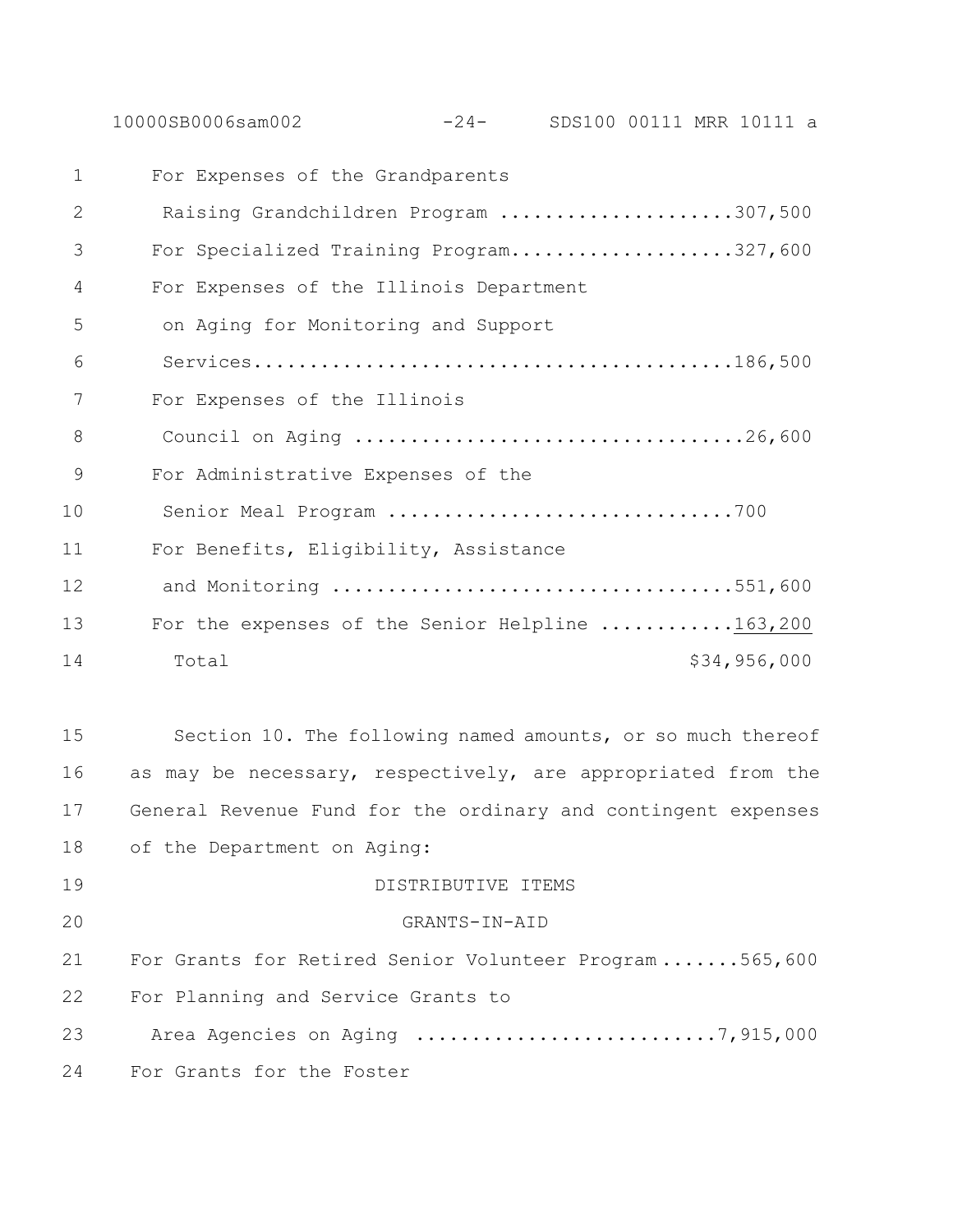10000SB0006sam002 -24- SDS100 00111 MRR 10111 a

| 1            | For Expenses of the Grandparents                |
|--------------|-------------------------------------------------|
| $\mathbf{2}$ | Raising Grandchildren Program 307,500           |
| 3            | For Specialized Training Program327,600         |
| 4            | For Expenses of the Illinois Department         |
| 5            | on Aging for Monitoring and Support             |
| 6            |                                                 |
| 7            | For Expenses of the Illinois                    |
| 8            |                                                 |
| 9            | For Administrative Expenses of the              |
| 10           | Senior Meal Program 700                         |
| 11           | For Benefits, Eligibility, Assistance           |
| 12           | and Monitoring 551,600                          |
| 13           | For the expenses of the Senior Helpline 163,200 |
| 14           | \$34,956,000<br>Total                           |
|              |                                                 |

 Section 10. The following named amounts, or so much thereof as may be necessary, respectively, are appropriated from the General Revenue Fund for the ordinary and contingent expenses of the Department on Aging:

 DISTRIBUTIVE ITEMS GRANTS-IN-AID For Grants for Retired Senior Volunteer Program .......565,600 For Planning and Service Grants to 23 Area Agencies on Aging .................................7,915,000

For Grants for the Foster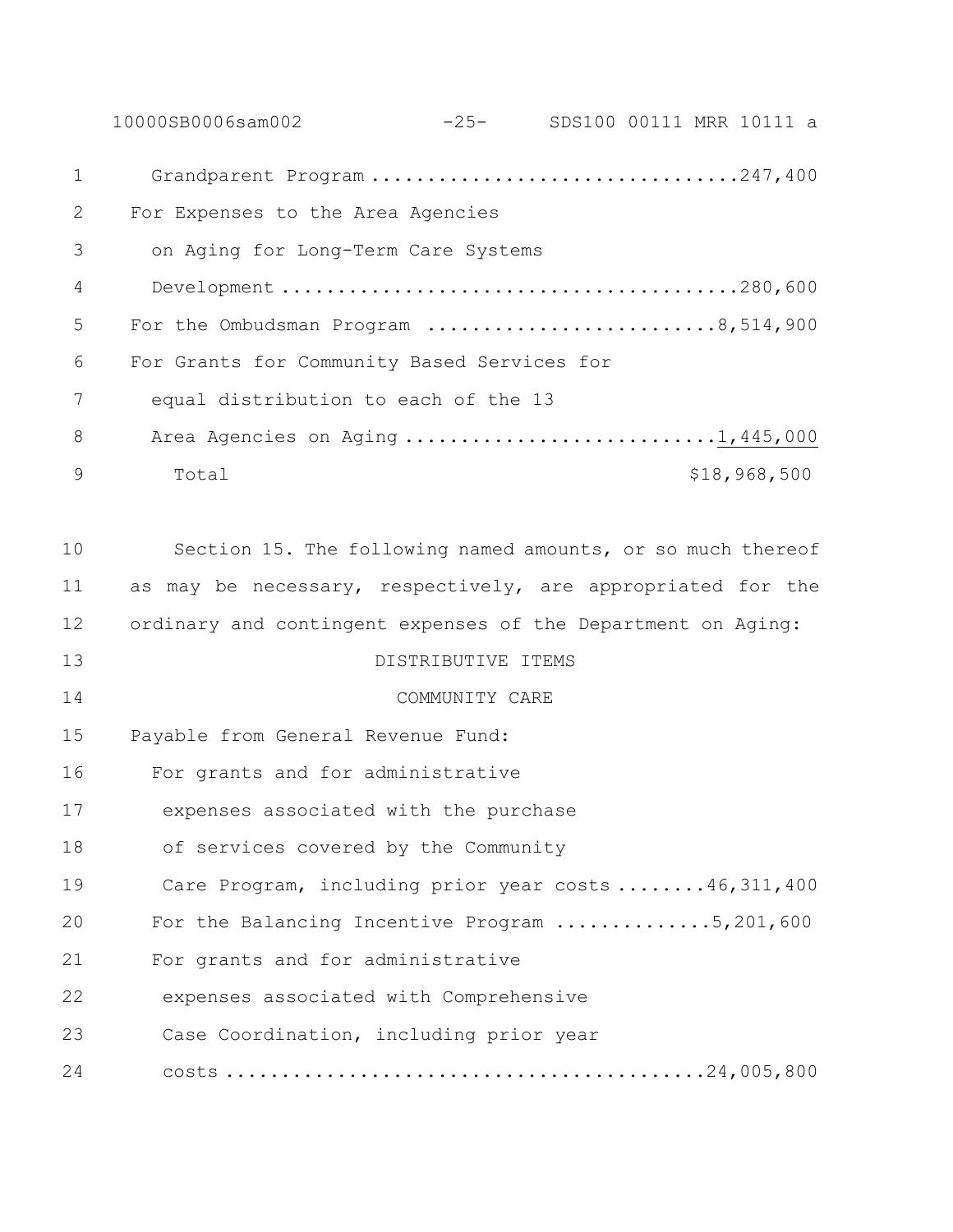10000SB0006sam002 -25- SDS100 00111 MRR 10111 a Grandparent Program .................................247,400 For Expenses to the Area Agencies on Aging for Long-Term Care Systems Development .........................................280,600 5 For the Ombudsman Program ............................8,514,900 For Grants for Community Based Services for equal distribution to each of the 13 8 Area Agencies on Aging ..............................1,445,000 9 Total \$18,968,500 Section 15. The following named amounts, or so much thereof as may be necessary, respectively, are appropriated for the ordinary and contingent expenses of the Department on Aging: DISTRIBUTIVE ITEMS COMMUNITY CARE Payable from General Revenue Fund: For grants and for administrative expenses associated with the purchase of services covered by the Community Care Program, including prior year costs ........46,311,400 For the Balancing Incentive Program ..............5,201,600 For grants and for administrative expenses associated with Comprehensive Case Coordination, including prior year costs ...........................................24,005,800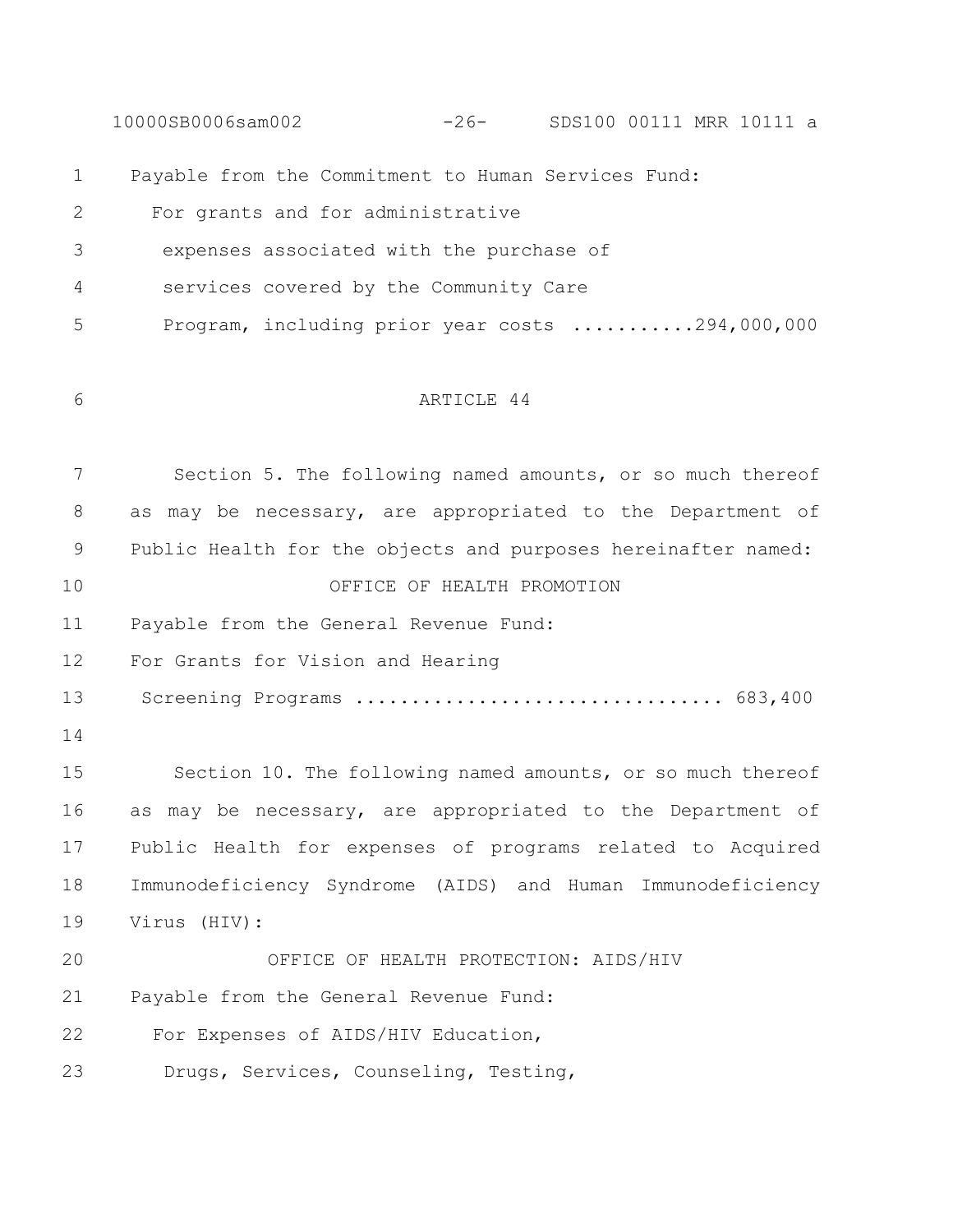10000SB0006sam002 -26- SDS100 00111 MRR 10111 a Payable from the Commitment to Human Services Fund: For grants and for administrative expenses associated with the purchase of services covered by the Community Care Program, including prior year costs ...........294,000,000 ARTICLE 44 Section 5. The following named amounts, or so much thereof as may be necessary, are appropriated to the Department of Public Health for the objects and purposes hereinafter named: OFFICE OF HEALTH PROMOTION Payable from the General Revenue Fund: For Grants for Vision and Hearing Screening Programs ................................. 683,400 Section 10. The following named amounts, or so much thereof as may be necessary, are appropriated to the Department of Public Health for expenses of programs related to Acquired Immunodeficiency Syndrome (AIDS) and Human Immunodeficiency Virus (HIV): OFFICE OF HEALTH PROTECTION: AIDS/HIV Payable from the General Revenue Fund: 22 For Expenses of AIDS/HIV Education, 23 Drugs, Services, Counseling, Testing,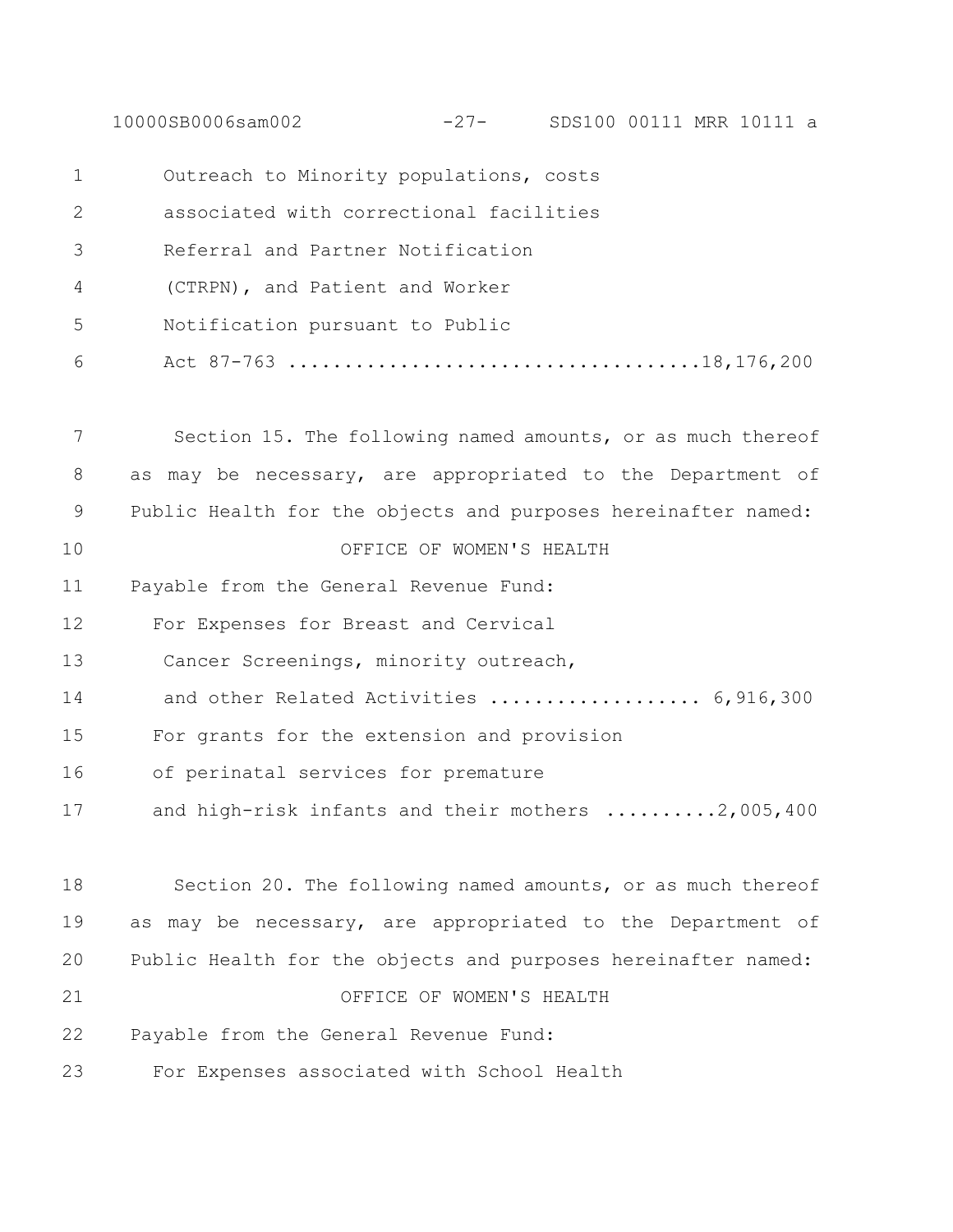10000SB0006sam002 -27- SDS100 00111 MRR 10111 a

| $\mathbf 1$  | Outreach to Minority populations, costs                       |
|--------------|---------------------------------------------------------------|
| $\mathbf{2}$ | associated with correctional facilities                       |
| 3            | Referral and Partner Notification                             |
| 4            | (CTRPN), and Patient and Worker                               |
| 5            | Notification pursuant to Public                               |
| 6            |                                                               |
| 7            | Section 15. The following named amounts, or as much thereof   |
| 8            | as may be necessary, are appropriated to the Department of    |
| 9            | Public Health for the objects and purposes hereinafter named: |
| 10           | OFFICE OF WOMEN'S HEALTH                                      |
| 11           | Payable from the General Revenue Fund:                        |
| 12           | For Expenses for Breast and Cervical                          |
| 13           | Cancer Screenings, minority outreach,                         |
| 14           | and other Related Activities  6,916,300                       |
| 15           | For grants for the extension and provision                    |
| 16           | of perinatal services for premature                           |
| 17           | and high-risk infants and their mothers 2,005,400             |
| 18           | Section 20. The following named amounts, or as much thereof   |
| 19           | as may be necessary, are appropriated to the Department of    |
| 20           | Public Health for the objects and purposes hereinafter named: |
| 21           | OFFICE OF WOMEN'S HEALTH                                      |
| 22           | Payable from the General Revenue Fund:                        |
| 23           | For Expenses associated with School Health                    |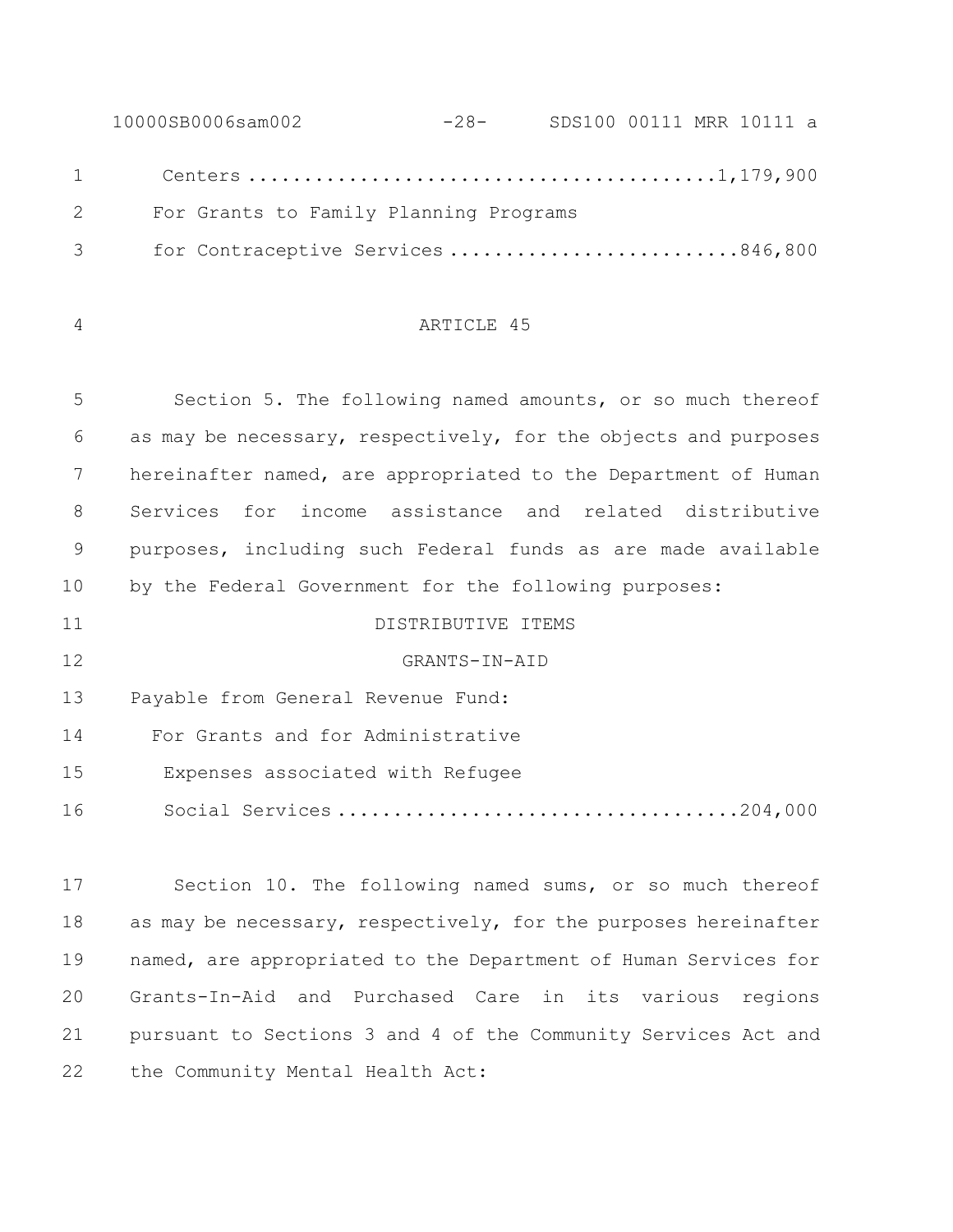10000SB0006sam002 -28- SDS100 00111 MRR 10111 a Centers ..........................................1,179,900 2 For Grants to Family Planning Programs 3 for Contraceptive Services ..........................846,800

## ARTICLE 45

 Section 5. The following named amounts, or so much thereof as may be necessary, respectively, for the objects and purposes hereinafter named, are appropriated to the Department of Human Services for income assistance and related distributive purposes, including such Federal funds as are made available by the Federal Government for the following purposes:

 GRANTS-IN-AID Payable from General Revenue Fund: For Grants and for Administrative 15 Expenses associated with Refugee 16 Social Services ....................................204,000

DISTRIBUTIVE ITEMS

 Section 10. The following named sums, or so much thereof 18 as may be necessary, respectively, for the purposes hereinafter named, are appropriated to the Department of Human Services for Grants-In-Aid and Purchased Care in its various regions pursuant to Sections 3 and 4 of the Community Services Act and 22 the Community Mental Health Act: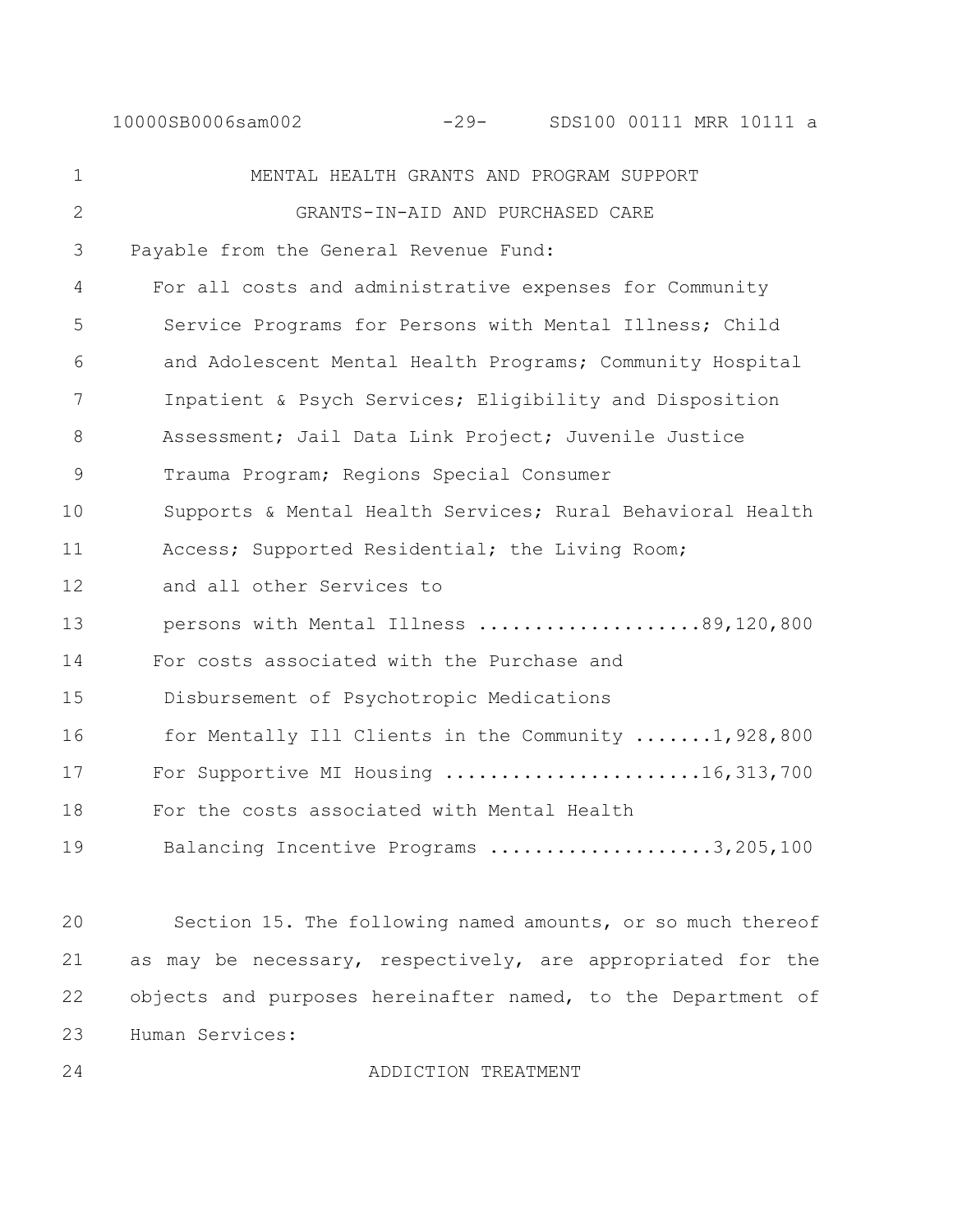10000SB0006sam002 -29- SDS100 00111 MRR 10111 a

1 MENTAL HEALTH GRANTS AND PROGRAM SUPPORT 2 GRANTS-IN-AID AND PURCHASED CARE 3 Payable from the General Revenue Fund: 4 For all costs and administrative expenses for Community 5 Service Programs for Persons with Mental Illness; Child 6 and Adolescent Mental Health Programs; Community Hospital 7 Inpatient & Psych Services; Eligibility and Disposition 8 Assessment; Jail Data Link Project; Juvenile Justice 9 Trauma Program; Regions Special Consumer 10 Supports & Mental Health Services; Rural Behavioral Health 11 Access; Supported Residential; the Living Room; 12 and all other Services to 13 persons with Mental Illness ....................89,120,800 14 For costs associated with the Purchase and 15 Disbursement of Psychotropic Medications 16 for Mentally Ill Clients in the Community .......1,928,800 17 For Supportive MI Housing ........................16,313,700 18 For the costs associated with Mental Health 19 Balancing Incentive Programs .....................3,205,100

 Section 15. The following named amounts, or so much thereof as may be necessary, respectively, are appropriated for the 22 objects and purposes hereinafter named, to the Department of Human Services:

24 ADDICTION TREATMENT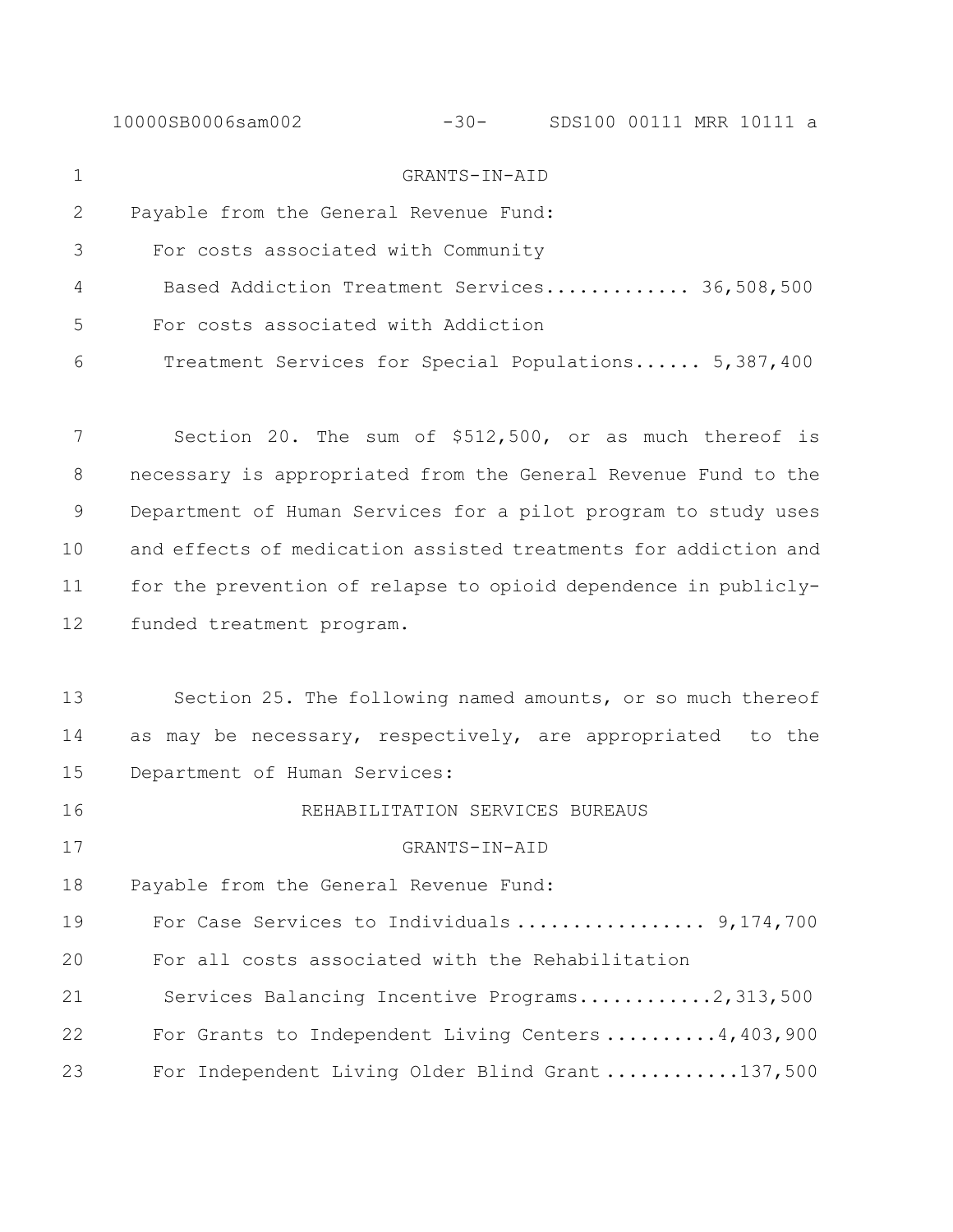| GRANTS-IN-AID                                                   |
|-----------------------------------------------------------------|
| Payable from the General Revenue Fund:                          |
| For costs associated with Community                             |
| Based Addiction Treatment Services 36,508,500                   |
| For costs associated with Addiction                             |
| Treatment Services for Special Populations 5,387,400            |
|                                                                 |
| Section 20. The sum of \$512,500, or as much thereof is         |
| necessary is appropriated from the General Revenue Fund to the  |
| Department of Human Services for a pilot program to study uses  |
| and effects of medication assisted treatments for addiction and |
| for the prevention of relapse to opioid dependence in publicly- |
| funded treatment program.                                       |
|                                                                 |
| Section 25. The following named amounts, or so much thereof     |
| as may be necessary, respectively, are appropriated to the      |
| Department of Human Services:                                   |
| REHABILITATION SERVICES BUREAUS                                 |
| GRANTS-IN-AID                                                   |
| Payable from the General Revenue Fund:                          |
| For Case Services to Individuals 9,174,700                      |
| For all costs associated with the Rehabilitation                |
| Services Balancing Incentive Programs2,313,500                  |
| For Grants to Independent Living Centers 4, 403, 900            |
| For Independent Living Older Blind Grant 137,500                |
|                                                                 |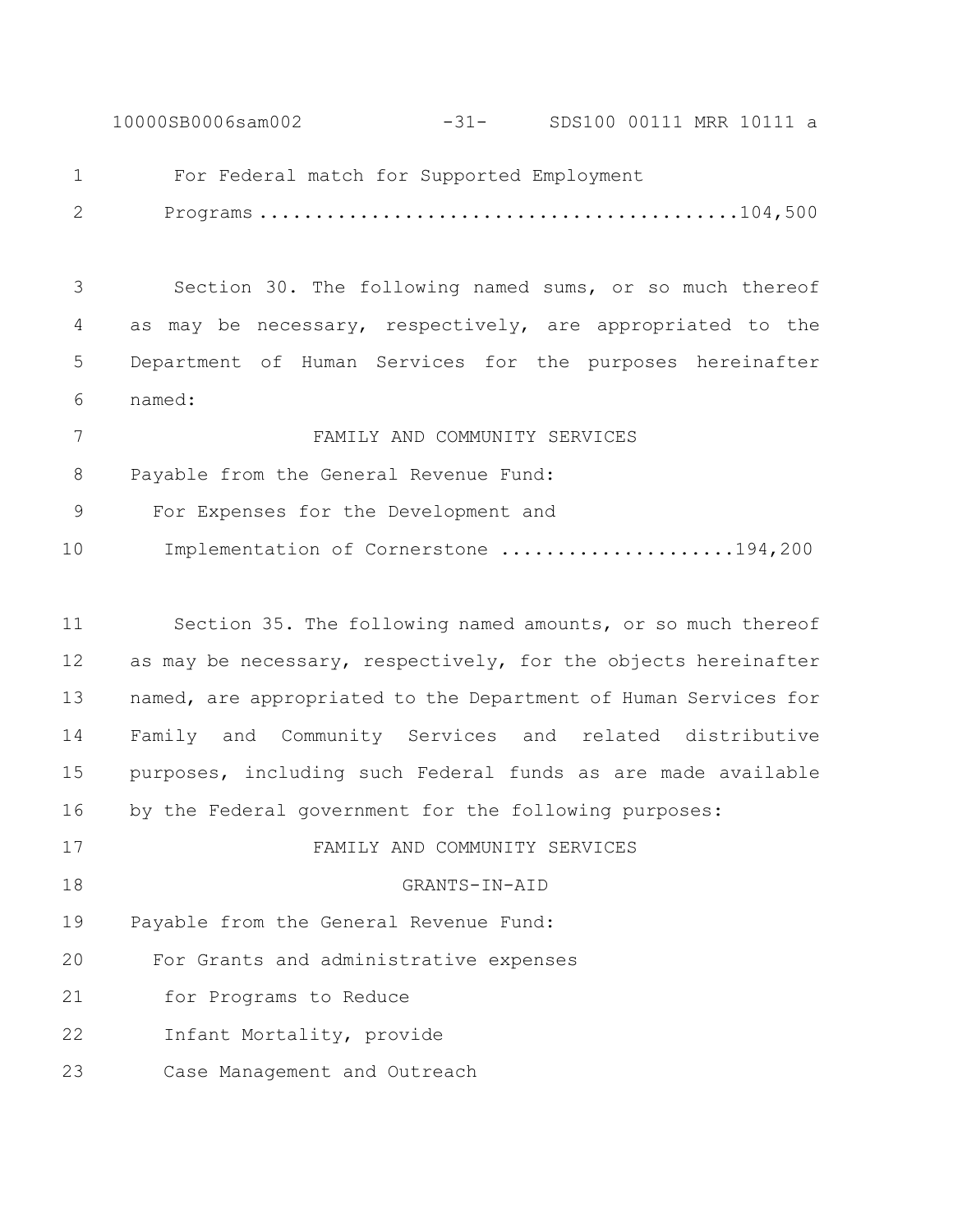10000SB0006sam002 -31- SDS100 00111 MRR 10111 a

For Federal match for Supported Employment

2 Programs ...........................................104,500

 Section 30. The following named sums, or so much thereof as may be necessary, respectively, are appropriated to the Department of Human Services for the purposes hereinafter named:

 FAMILY AND COMMUNITY SERVICES Payable from the General Revenue Fund: 9 For Expenses for the Development and 10 Implementation of Cornerstone .....................194,200

 Section 35. The following named amounts, or so much thereof 12 as may be necessary, respectively, for the objects hereinafter named, are appropriated to the Department of Human Services for Family and Community Services and related distributive purposes, including such Federal funds as are made available by the Federal government for the following purposes: FAMILY AND COMMUNITY SERVICES GRANTS-IN-AID Payable from the General Revenue Fund: 20 For Grants and administrative expenses 21 for Programs to Reduce 22 Infant Mortality, provide 23 Case Management and Outreach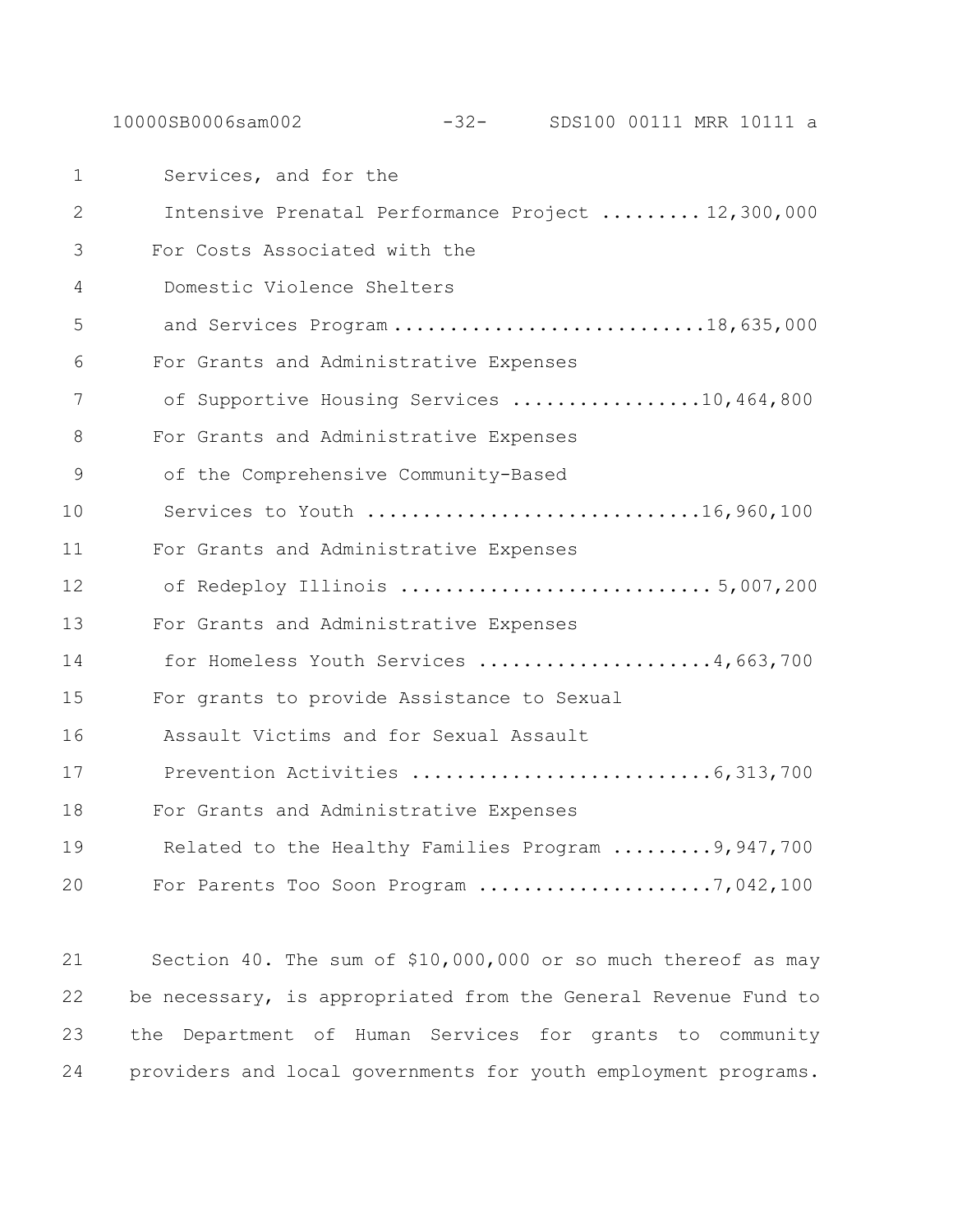10000SB0006sam002 -32- SDS100 00111 MRR 10111 a

1 Services, and for the 2 Intensive Prenatal Performance Project ......... 12,300,000 3 For Costs Associated with the 4 Domestic Violence Shelters 5 and Services Program ..............................18,635,000 6 For Grants and Administrative Expenses 7 of Supportive Housing Services .................10,464,800 8 For Grants and Administrative Expenses 9 of the Comprehensive Community-Based 10 Services to Youth ..............................16,960,100 11 For Grants and Administrative Expenses 12 of Redeploy Illinois ............................ 5,007,200 13 For Grants and Administrative Expenses 14 for Homeless Youth Services .....................4,663,700 15 For grants to provide Assistance to Sexual 16 Assault Victims and for Sexual Assault 17 Prevention Activities ...........................6,313,700 18 For Grants and Administrative Expenses 19 Related to the Healthy Families Program .........9,947,700 20 For Parents Too Soon Program .....................7,042,100

 Section 40. The sum of \$10,000,000 or so much thereof as may be necessary, is appropriated from the General Revenue Fund to the Department of Human Services for grants to community providers and local governments for youth employment programs.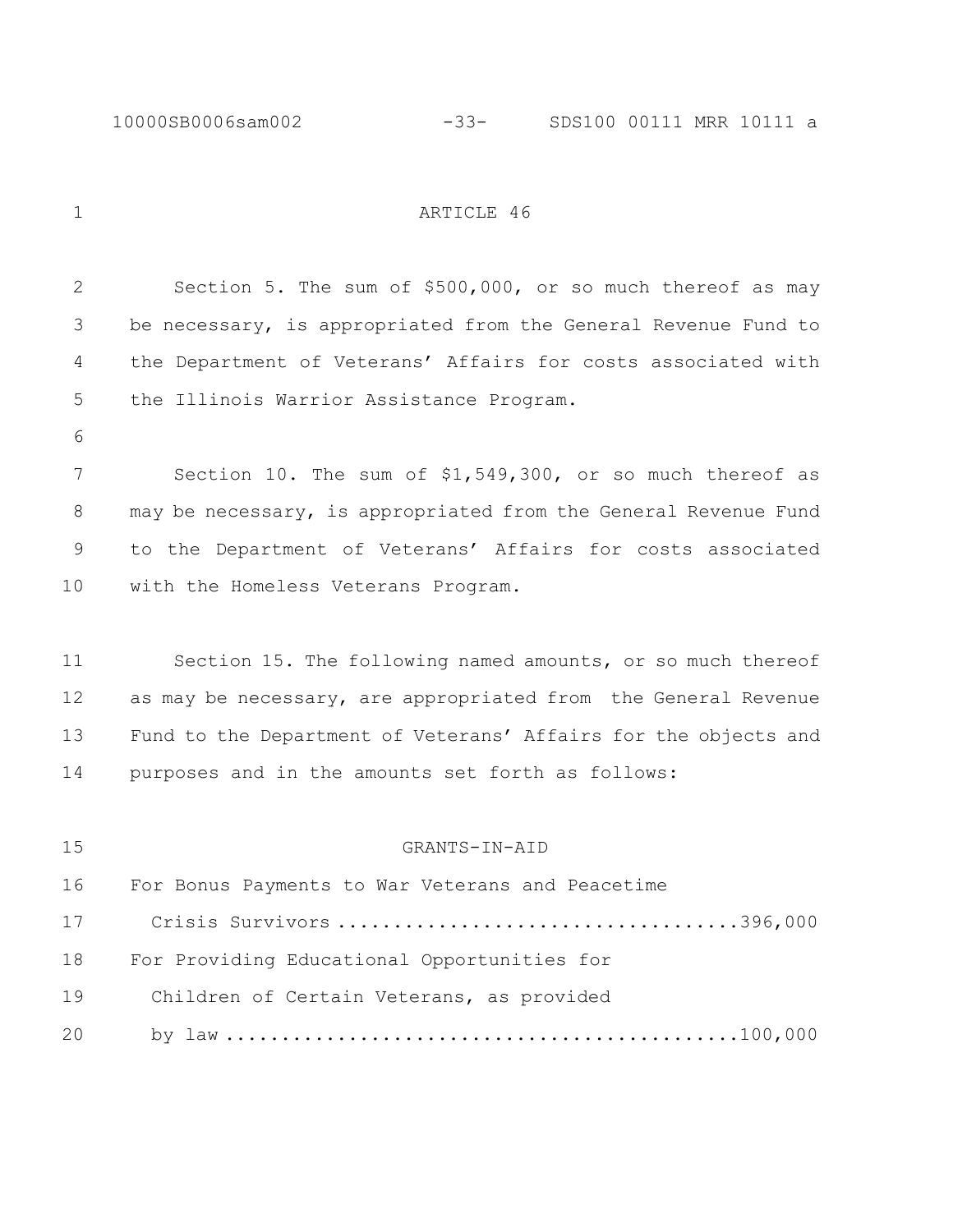# 1 ARTICLE 46

| 2  | Section 5. The sum of \$500,000, or so much thereof as may      |
|----|-----------------------------------------------------------------|
| 3  | be necessary, is appropriated from the General Revenue Fund to  |
| 4  | the Department of Veterans' Affairs for costs associated with   |
| 5  | the Illinois Warrior Assistance Program.                        |
| 6  |                                                                 |
| 7  | Section 10. The sum of \$1,549,300, or so much thereof as       |
| 8  | may be necessary, is appropriated from the General Revenue Fund |
| 9  | to the Department of Veterans' Affairs for costs associated     |
| 10 | with the Homeless Veterans Program.                             |
|    |                                                                 |
| 11 | Section 15. The following named amounts, or so much thereof     |
| 12 | as may be necessary, are appropriated from the General Revenue  |
| 13 | Fund to the Department of Veterans' Affairs for the objects and |
| 14 | purposes and in the amounts set forth as follows:               |
|    |                                                                 |
| 15 | GRANTS-IN-AID                                                   |
| 16 | For Bonus Payments to War Veterans and Peacetime                |
| 17 |                                                                 |
| 18 | For Providing Educational Opportunities for                     |
| 19 | Children of Certain Veterans, as provided                       |
| 20 |                                                                 |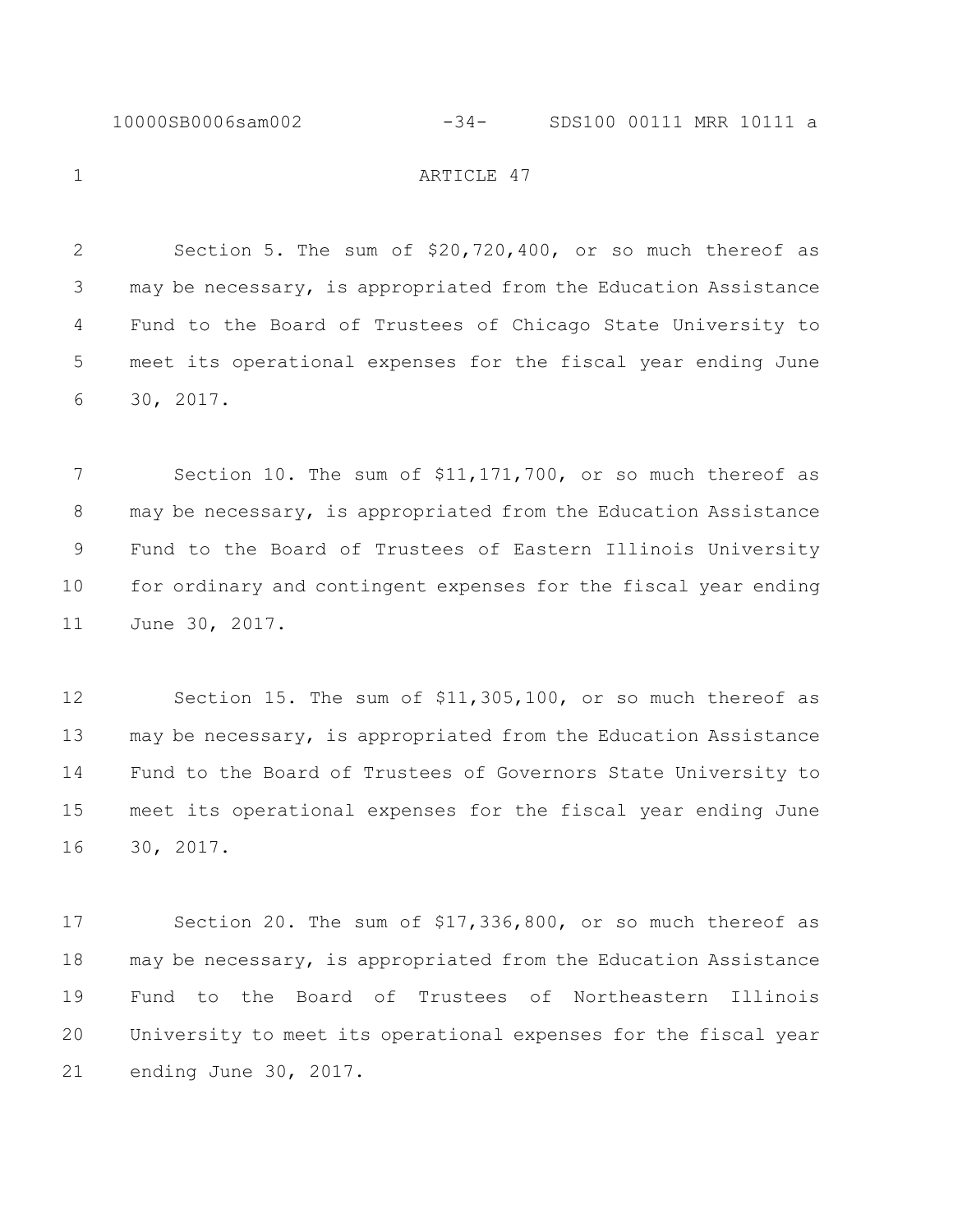#### 10000SB0006sam002 -34- SDS100 00111 MRR 10111 a

1 ARTICLE 47

 Section 5. The sum of \$20,720,400, or so much thereof as may be necessary, is appropriated from the Education Assistance Fund to the Board of Trustees of Chicago State University to meet its operational expenses for the fiscal year ending June 30, 2017.

7 Section 10. The sum of \$11,171,700, or so much thereof as may be necessary, is appropriated from the Education Assistance Fund to the Board of Trustees of Eastern Illinois University for ordinary and contingent expenses for the fiscal year ending June 30, 2017.

 Section 15. The sum of \$11,305,100, or so much thereof as may be necessary, is appropriated from the Education Assistance Fund to the Board of Trustees of Governors State University to meet its operational expenses for the fiscal year ending June 30, 2017.

 Section 20. The sum of \$17,336,800, or so much thereof as may be necessary, is appropriated from the Education Assistance Fund to the Board of Trustees of Northeastern Illinois University to meet its operational expenses for the fiscal year ending June 30, 2017.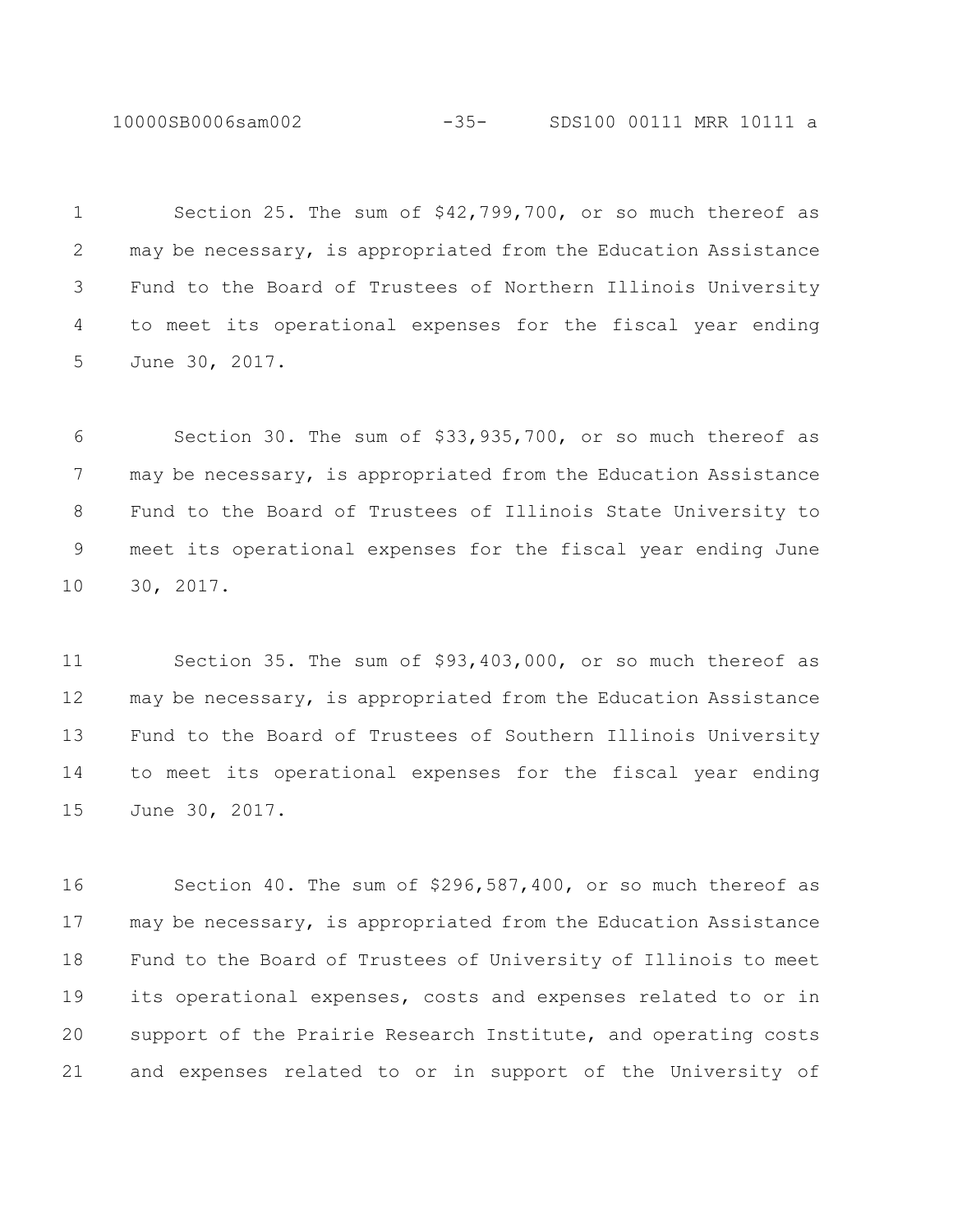10000SB0006sam002 -35- SDS100 00111 MRR 10111 a

 Section 25. The sum of \$42,799,700, or so much thereof as may be necessary, is appropriated from the Education Assistance Fund to the Board of Trustees of Northern Illinois University to meet its operational expenses for the fiscal year ending June 30, 2017.

 Section 30. The sum of \$33,935,700, or so much thereof as may be necessary, is appropriated from the Education Assistance Fund to the Board of Trustees of Illinois State University to meet its operational expenses for the fiscal year ending June 30, 2017.

 Section 35. The sum of \$93,403,000, or so much thereof as may be necessary, is appropriated from the Education Assistance Fund to the Board of Trustees of Southern Illinois University to meet its operational expenses for the fiscal year ending June 30, 2017.

 Section 40. The sum of \$296,587,400, or so much thereof as may be necessary, is appropriated from the Education Assistance Fund to the Board of Trustees of University of Illinois to meet its operational expenses, costs and expenses related to or in support of the Prairie Research Institute, and operating costs and expenses related to or in support of the University of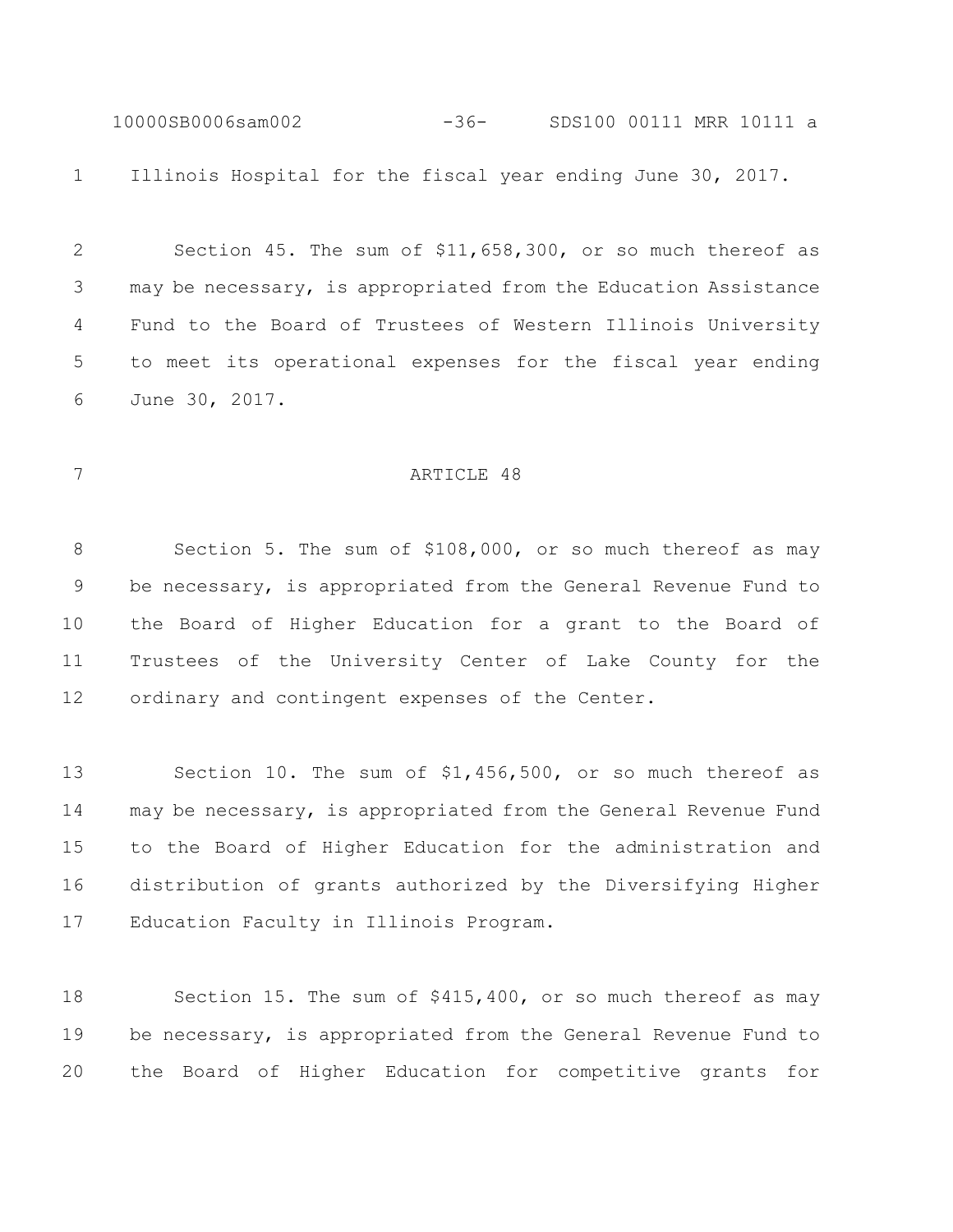10000SB0006sam002 -36- SDS100 00111 MRR 10111 a Illinois Hospital for the fiscal year ending June 30, 2017.

 Section 45. The sum of \$11,658,300, or so much thereof as may be necessary, is appropriated from the Education Assistance Fund to the Board of Trustees of Western Illinois University to meet its operational expenses for the fiscal year ending June 30, 2017.

### 7 ARTICLE 48

 Section 5. The sum of \$108,000, or so much thereof as may be necessary, is appropriated from the General Revenue Fund to the Board of Higher Education for a grant to the Board of Trustees of the University Center of Lake County for the ordinary and contingent expenses of the Center.

 Section 10. The sum of \$1,456,500, or so much thereof as may be necessary, is appropriated from the General Revenue Fund to the Board of Higher Education for the administration and distribution of grants authorized by the Diversifying Higher Education Faculty in Illinois Program.

 Section 15. The sum of \$415,400, or so much thereof as may be necessary, is appropriated from the General Revenue Fund to the Board of Higher Education for competitive grants for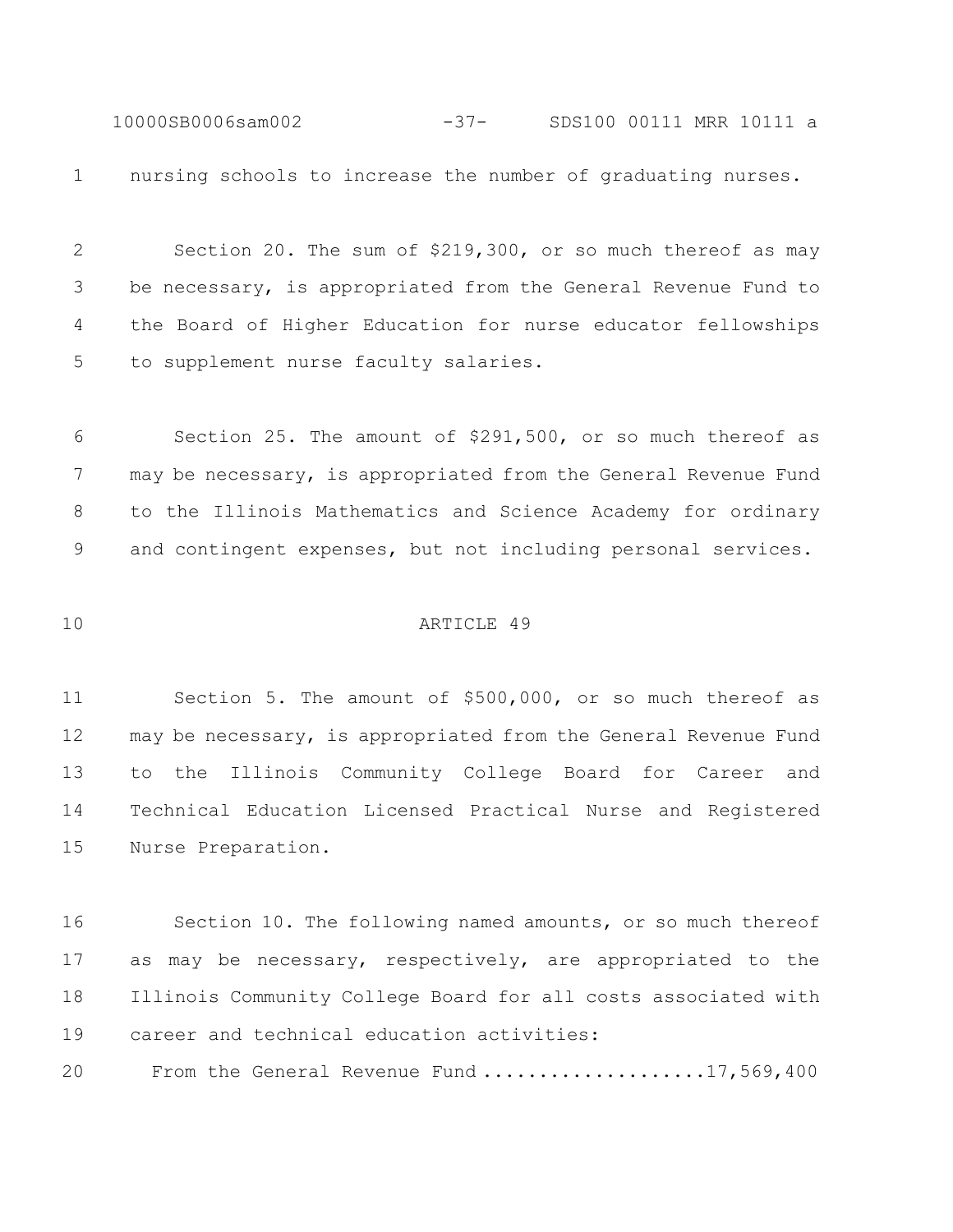10000SB0006sam002 -37- SDS100 00111 MRR 10111 a nursing schools to increase the number of graduating nurses.

 Section 20. The sum of \$219,300, or so much thereof as may be necessary, is appropriated from the General Revenue Fund to the Board of Higher Education for nurse educator fellowships to supplement nurse faculty salaries.

 Section 25. The amount of \$291,500, or so much thereof as 7 may be necessary, is appropriated from the General Revenue Fund to the Illinois Mathematics and Science Academy for ordinary and contingent expenses, but not including personal services.

## ARTICLE 49

 Section 5. The amount of \$500,000, or so much thereof as may be necessary, is appropriated from the General Revenue Fund to the Illinois Community College Board for Career and Technical Education Licensed Practical Nurse and Registered Nurse Preparation.

 Section 10. The following named amounts, or so much thereof as may be necessary, respectively, are appropriated to the Illinois Community College Board for all costs associated with career and technical education activities:

From the General Revenue Fund ....................17,569,400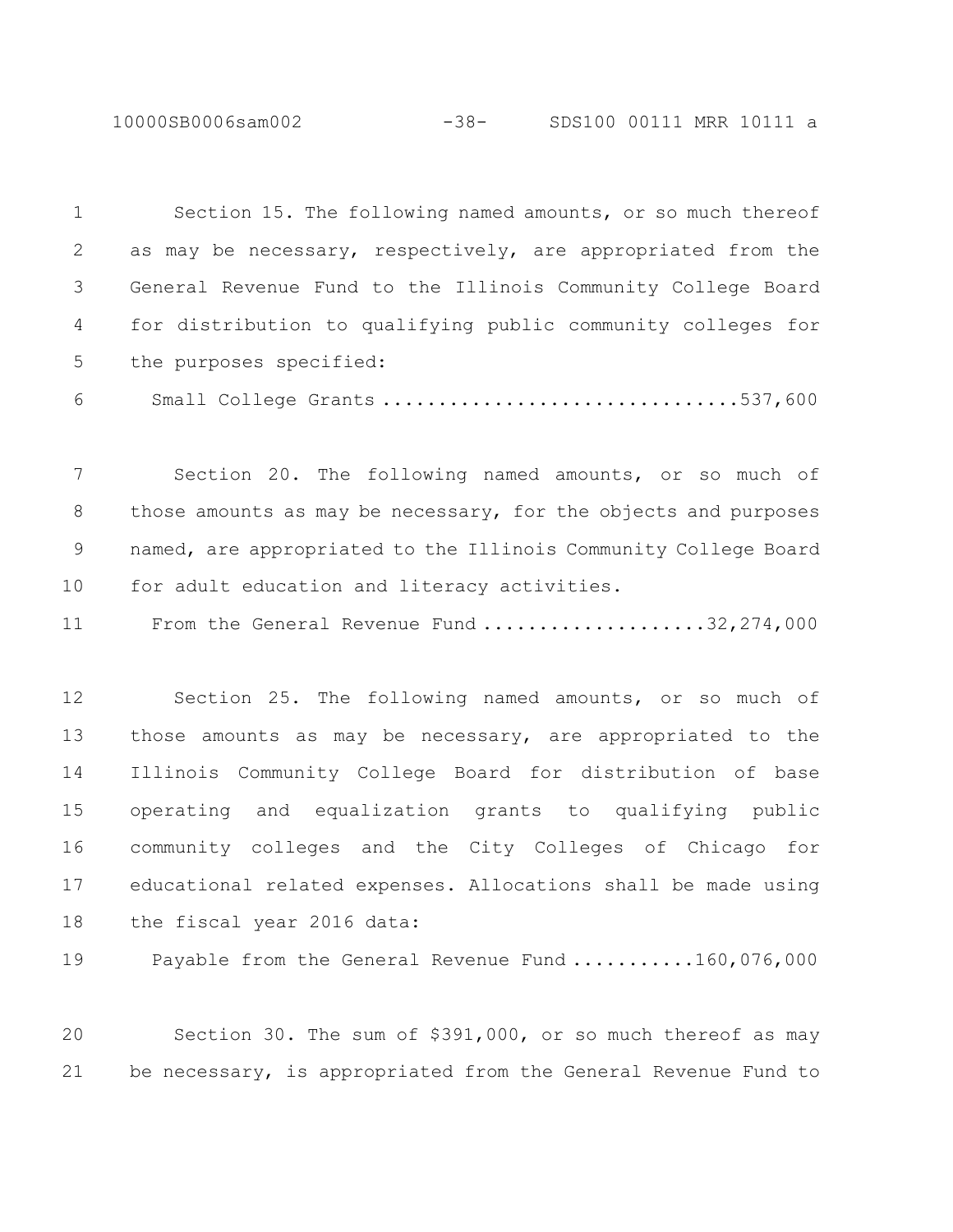10000SB0006sam002 -38- SDS100 00111 MRR 10111 a

 Section 15. The following named amounts, or so much thereof as may be necessary, respectively, are appropriated from the General Revenue Fund to the Illinois Community College Board for distribution to qualifying public community colleges for the purposes specified:

Small College Grants ................................537,600

 Section 20. The following named amounts, or so much of those amounts as may be necessary, for the objects and purposes named, are appropriated to the Illinois Community College Board for adult education and literacy activities.

11 From the General Revenue Fund ......................32,274,000

 Section 25. The following named amounts, or so much of those amounts as may be necessary, are appropriated to the Illinois Community College Board for distribution of base operating and equalization grants to qualifying public community colleges and the City Colleges of Chicago for educational related expenses. Allocations shall be made using the fiscal year 2016 data:

19 Payable from the General Revenue Fund ...........160,076,000

 Section 30. The sum of \$391,000, or so much thereof as may be necessary, is appropriated from the General Revenue Fund to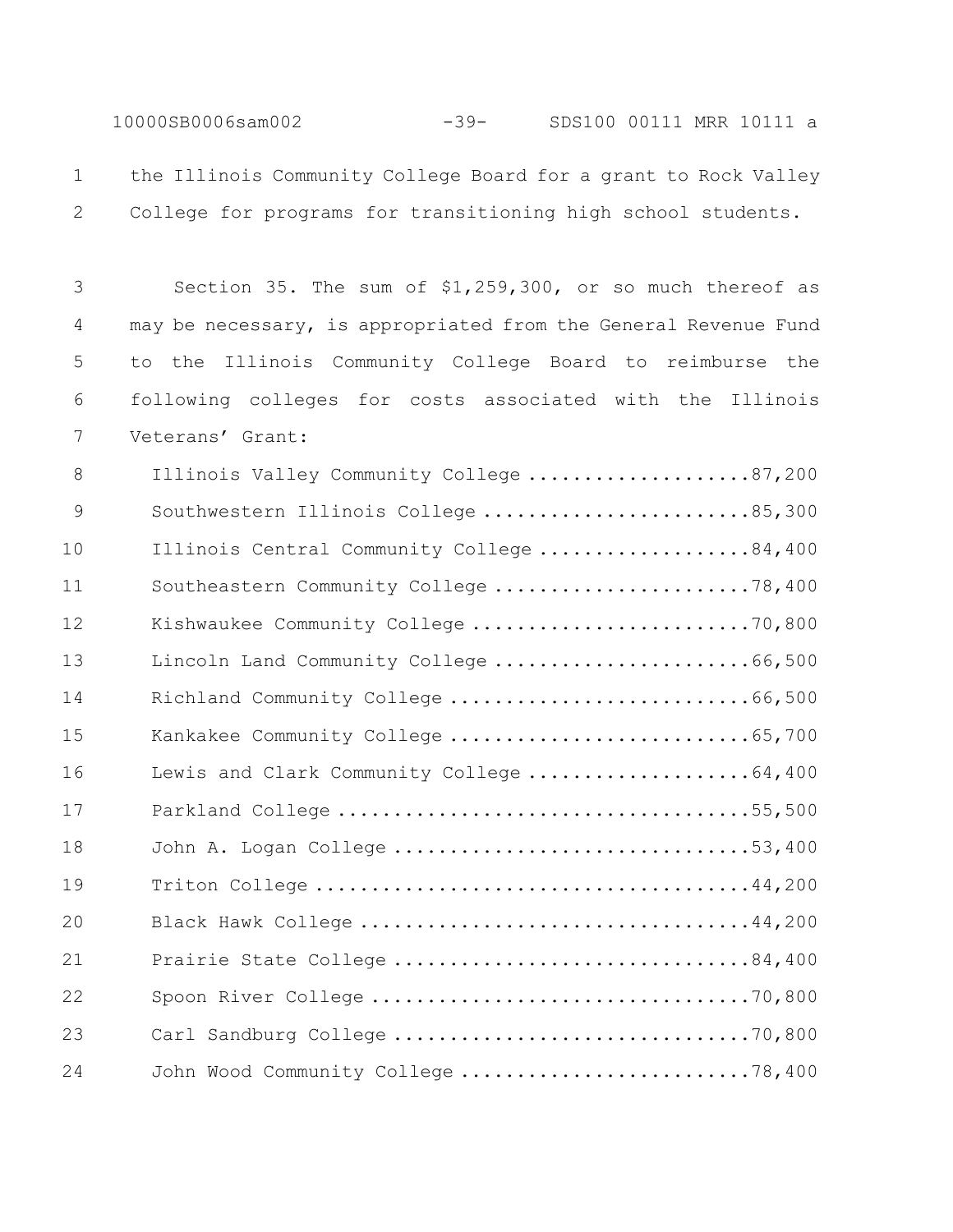10000SB0006sam002 -39- SDS100 00111 MRR 10111 a

 the Illinois Community College Board for a grant to Rock Valley College for programs for transitioning high school students.

 Section 35. The sum of \$1,259,300, or so much thereof as may be necessary, is appropriated from the General Revenue Fund to the Illinois Community College Board to reimburse the following colleges for costs associated with the Illinois Veterans' Grant:

| 8  | Illinois Valley Community College 87,200  |
|----|-------------------------------------------|
| 9  | Southwestern Illinois College 85,300      |
| 10 | Illinois Central Community College 84,400 |
| 11 | Southeastern Community College 78,400     |
| 12 | Kishwaukee Community College 70,800       |
| 13 | Lincoln Land Community College 66,500     |
| 14 | Richland Community College 66,500         |
| 15 | Kankakee Community College 65,700         |
| 16 | Lewis and Clark Community College 64,400  |
| 17 |                                           |
| 18 | John A. Logan College 53,400              |
| 19 |                                           |
| 20 |                                           |
| 21 | Prairie State College 84,400              |
| 22 |                                           |
| 23 |                                           |
| 24 | John Wood Community College 78,400        |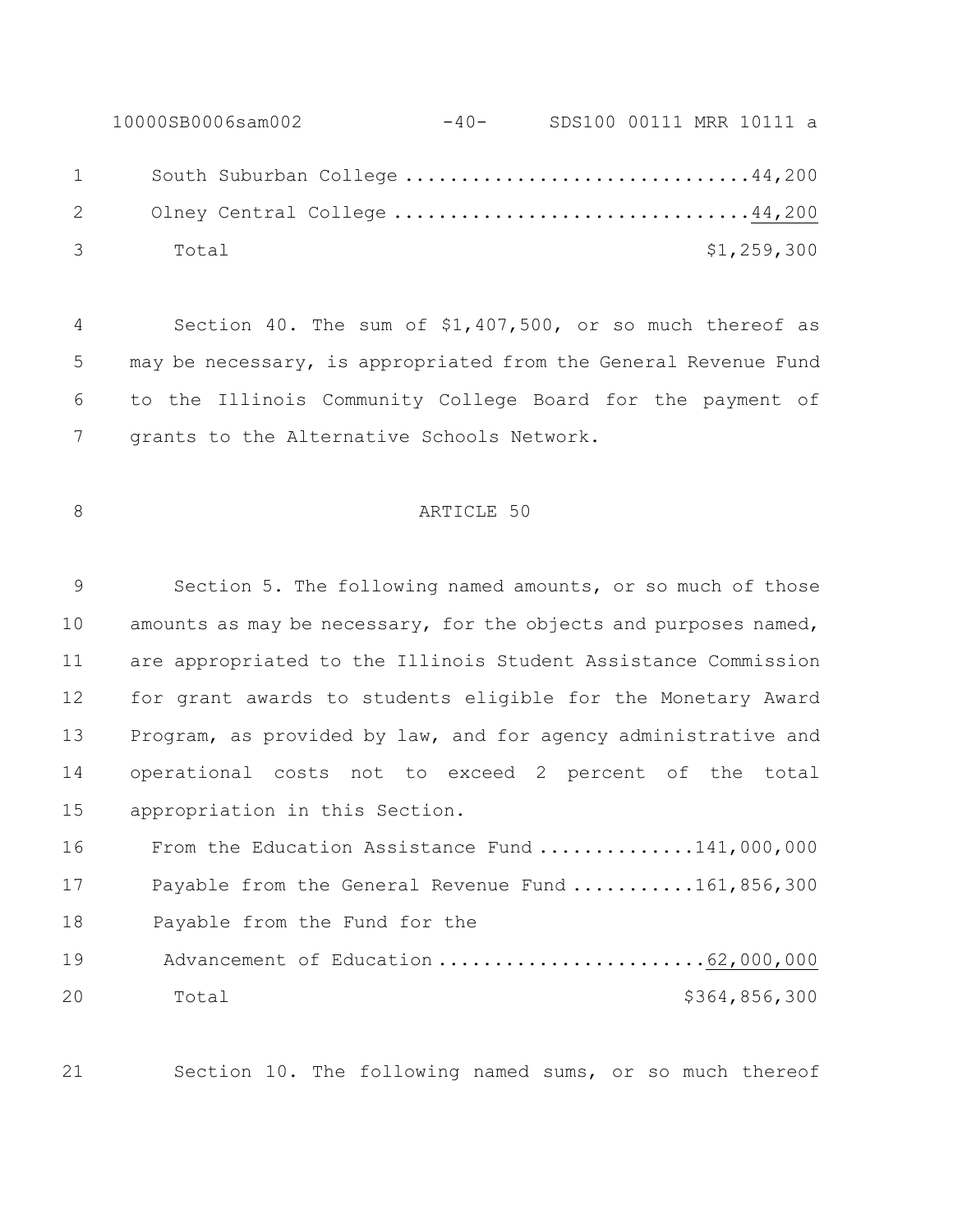10000SB0006sam002 -40- SDS100 00111 MRR 10111 a 1 South Suburban College ...............................44,200 Olney Central College ................................44,200 Total \$1,259,300

 Section 40. The sum of \$1,407,500, or so much thereof as may be necessary, is appropriated from the General Revenue Fund to the Illinois Community College Board for the payment of grants to the Alternative Schools Network.

# 8 ARTICLE 50

 Section 5. The following named amounts, or so much of those 10 amounts as may be necessary, for the objects and purposes named, are appropriated to the Illinois Student Assistance Commission for grant awards to students eligible for the Monetary Award Program, as provided by law, and for agency administrative and operational costs not to exceed 2 percent of the total appropriation in this Section.

16 From the Education Assistance Fund .............141,000,000 17 Payable from the General Revenue Fund ...........161,856,300 18 Payable from the Fund for the 19 Advancement of Education .............................62,000,000 Total \$364,856,300

Section 10. The following named sums, or so much thereof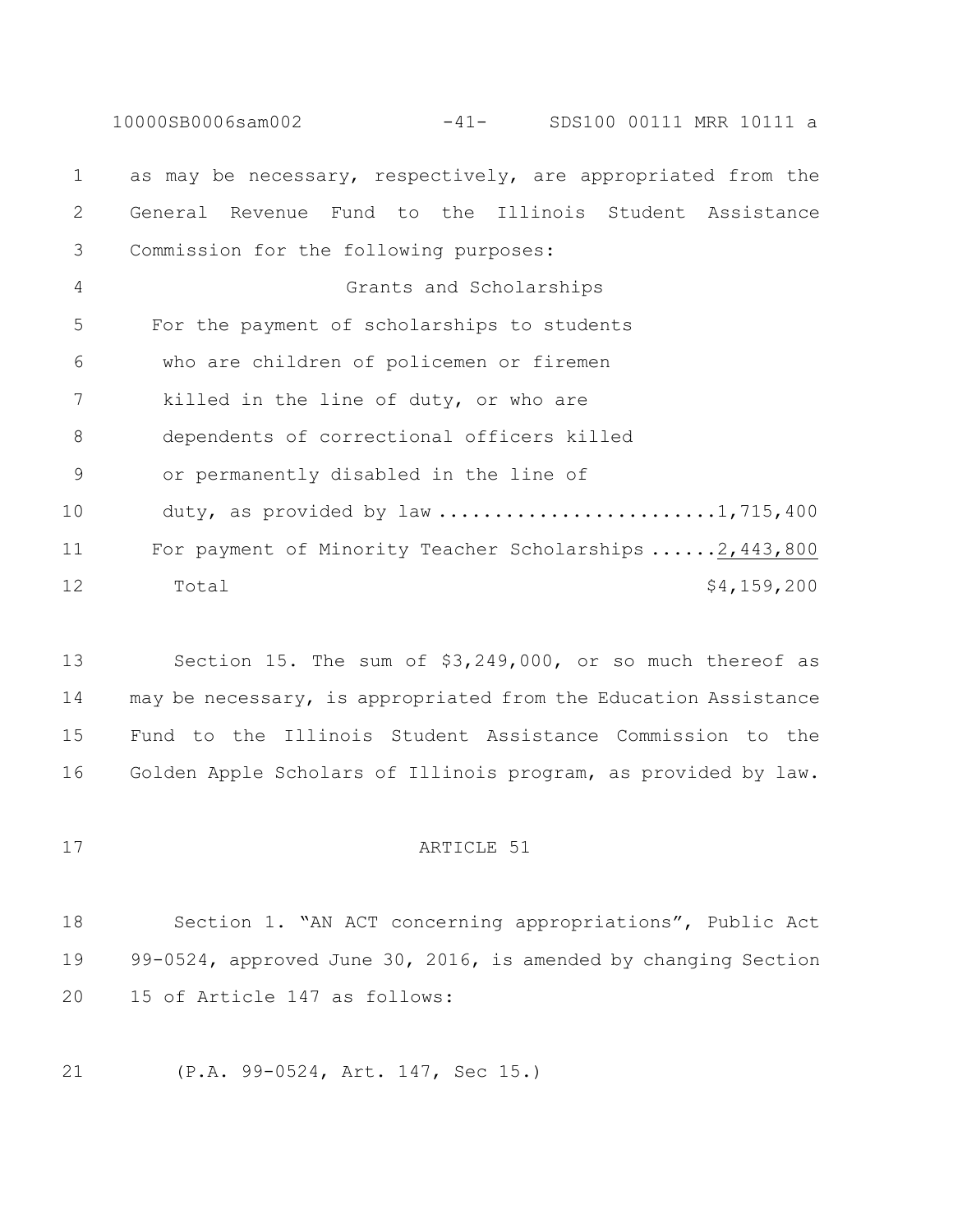10000SB0006sam002 -41- SDS100 00111 MRR 10111 a as may be necessary, respectively, are appropriated from the General Revenue Fund to the Illinois Student Assistance Commission for the following purposes: Grants and Scholarships For the payment of scholarships to students who are children of policemen or firemen killed in the line of duty, or who are dependents of correctional officers killed or permanently disabled in the line of 10 duty, as provided by law ...........................1,715,400 For payment of Minority Teacher Scholarships ......2,443,800 12 Total  $\frac{12}{159,200}$ 

 Section 15. The sum of \$3,249,000, or so much thereof as may be necessary, is appropriated from the Education Assistance Fund to the Illinois Student Assistance Commission to the Golden Apple Scholars of Illinois program, as provided by law.

# 17 ARTICLE 51

 Section 1. "AN ACT concerning appropriations", Public Act 99-0524, approved June 30, 2016, is amended by changing Section 15 of Article 147 as follows:

(P.A. 99-0524, Art. 147, Sec 15.)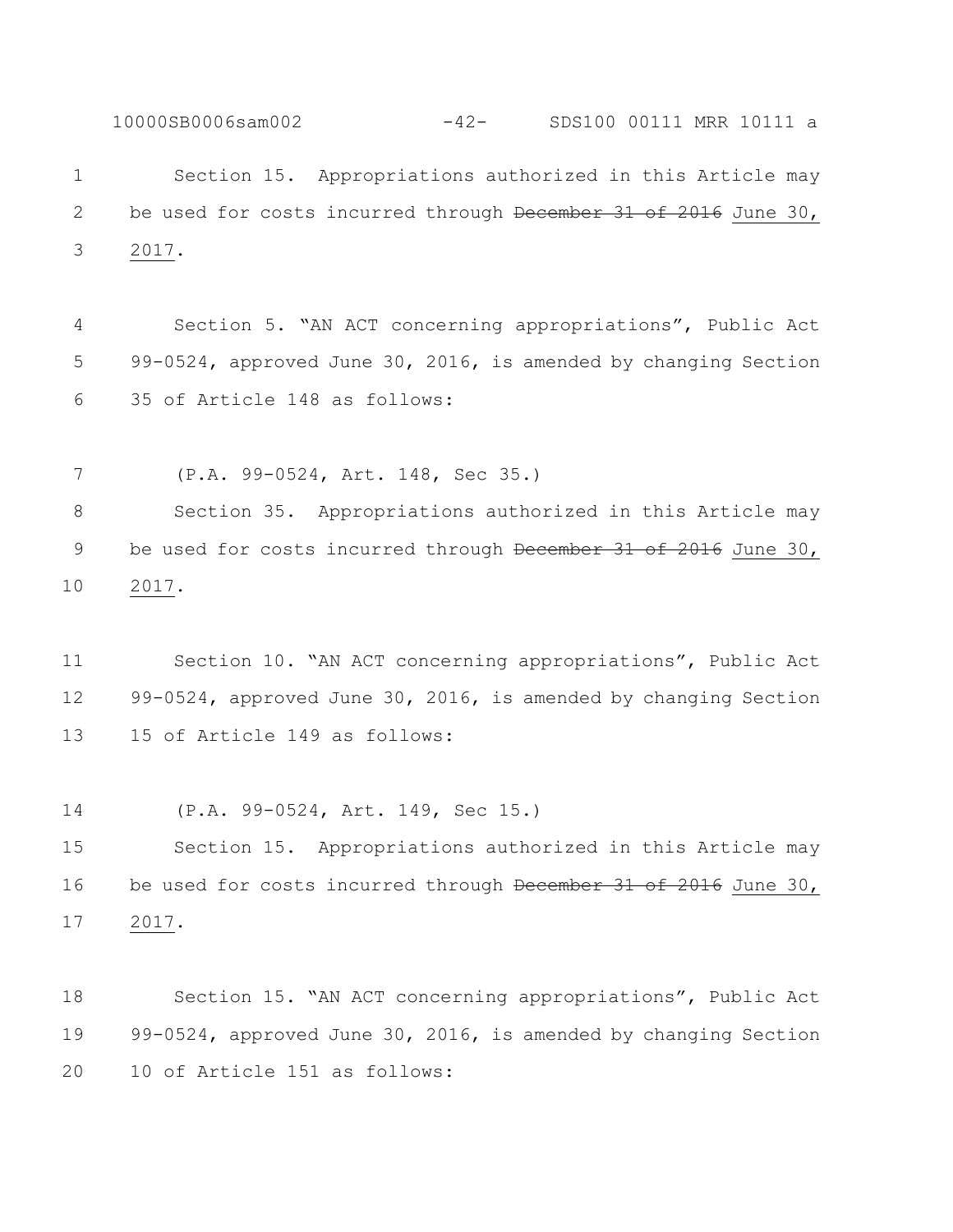Section 15. Appropriations authorized in this Article may 2 be used for costs incurred through December 31 of 2016 June 30, 2017.

10000SB0006sam002 -42- SDS100 00111 MRR 10111 a

 Section 5. "AN ACT concerning appropriations", Public Act 99-0524, approved June 30, 2016, is amended by changing Section 35 of Article 148 as follows:

 (P.A. 99-0524, Art. 148, Sec 35.) Section 35. Appropriations authorized in this Article may 9 be used for costs incurred through December 31 of 2016 June 30, 2017.

 Section 10. "AN ACT concerning appropriations", Public Act 99-0524, approved June 30, 2016, is amended by changing Section 15 of Article 149 as follows:

(P.A. 99-0524, Art. 149, Sec 15.)

 Section 15. Appropriations authorized in this Article may 16 be used for costs incurred through December 31 of 2016 June 30, 2017.

 Section 15. "AN ACT concerning appropriations", Public Act 99-0524, approved June 30, 2016, is amended by changing Section 10 of Article 151 as follows: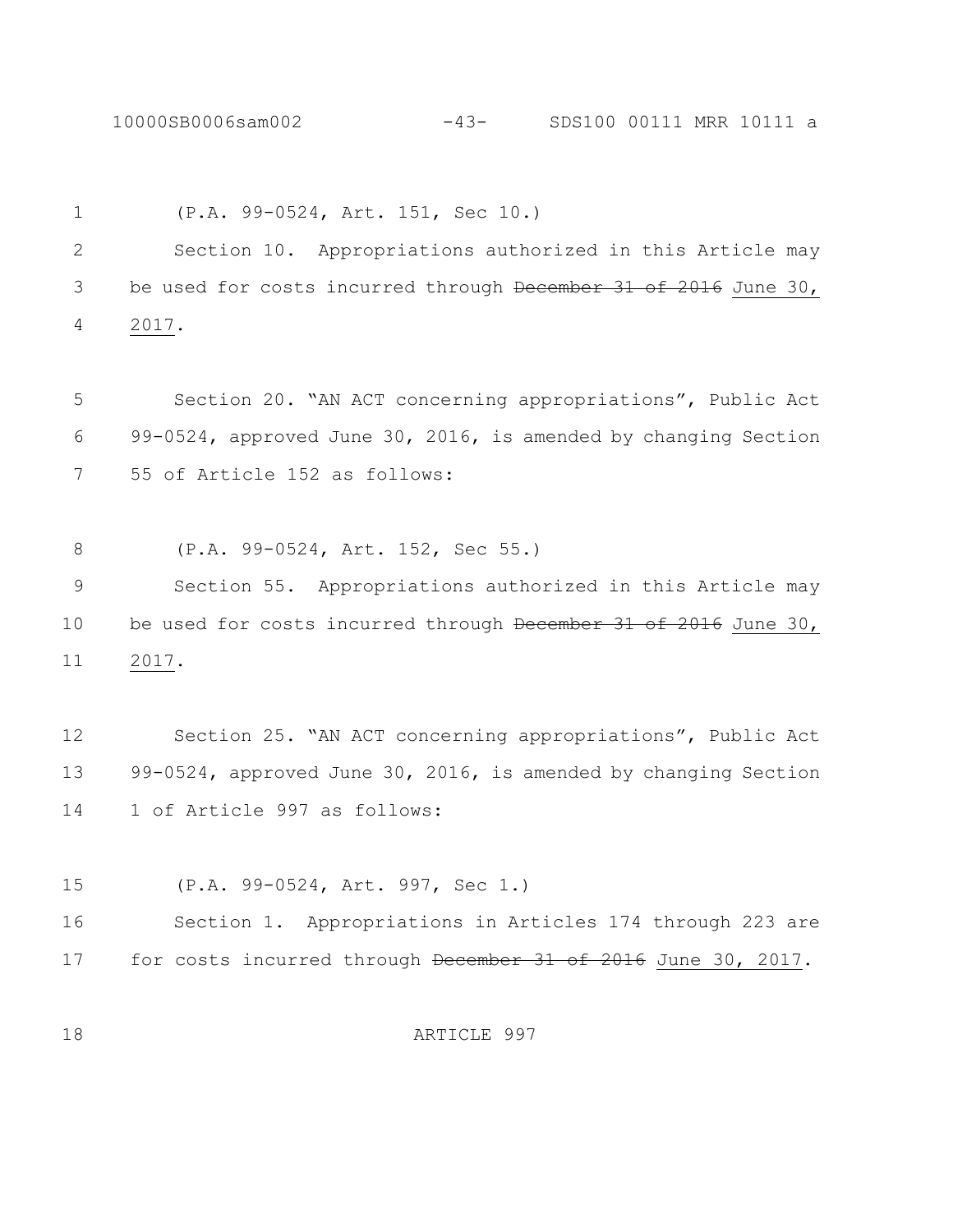10000SB0006sam002 -43- SDS100 00111 MRR 10111 a

 (P.A. 99-0524, Art. 151, Sec 10.) Section 10. Appropriations authorized in this Article may 3 be used for costs incurred through December 31 of 2016 June 30, 2017. Section 20. "AN ACT concerning appropriations", Public Act 99-0524, approved June 30, 2016, is amended by changing Section 55 of Article 152 as follows:

(P.A. 99-0524, Art. 152, Sec 55.)

 Section 55. Appropriations authorized in this Article may 10 be used for costs incurred through December 31 of 2016 June 30, 2017.

 Section 25. "AN ACT concerning appropriations", Public Act 99-0524, approved June 30, 2016, is amended by changing Section 1 of Article 997 as follows:

(P.A. 99-0524, Art. 997, Sec 1.)

 Section 1. Appropriations in Articles 174 through 223 are 17 for costs incurred through December 31 of 2016 June 30, 2017.

ARTICLE 997